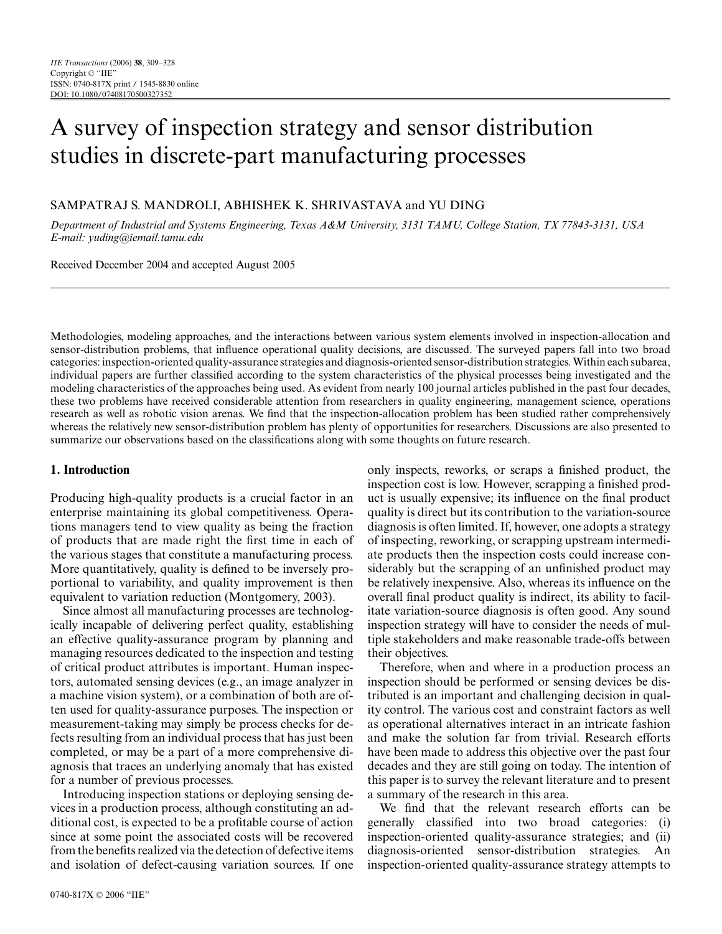# A survey of inspection strategy and sensor distribution studies in discrete-part manufacturing processes

# SAMPATRAJ S. MANDROLI, ABHISHEK K. SHRIVASTAVA and YU DING

*Department of Industrial and Systems Engineering, Texas A&M University, 3131 TAMU, College Station, TX 77843-3131, USA E-mail: yuding@iemail.tamu.edu*

Received December 2004 and accepted August 2005

Methodologies, modeling approaches, and the interactions between various system elements involved in inspection-allocation and sensor-distribution problems, that influence operational quality decisions, are discussed. The surveyed papers fall into two broad categories: inspection-oriented quality-assurance strategies and diagnosis-oriented sensor-distribution strategies. Within each subarea, individual papers are further classified according to the system characteristics of the physical processes being investigated and the modeling characteristics of the approaches being used. As evident from nearly 100 journal articles published in the past four decades, these two problems have received considerable attention from researchers in quality engineering, management science, operations research as well as robotic vision arenas. We find that the inspection-allocation problem has been studied rather comprehensively whereas the relatively new sensor-distribution problem has plenty of opportunities for researchers. Discussions are also presented to summarize our observations based on the classifications along with some thoughts on future research.

## **1. Introduction**

Producing high-quality products is a crucial factor in an enterprise maintaining its global competitiveness. Operations managers tend to view quality as being the fraction of products that are made right the first time in each of the various stages that constitute a manufacturing process. More quantitatively, quality is defined to be inversely proportional to variability, and quality improvement is then equivalent to variation reduction (Montgomery, 2003).

Since almost all manufacturing processes are technologically incapable of delivering perfect quality, establishing an effective quality-assurance program by planning and managing resources dedicated to the inspection and testing of critical product attributes is important. Human inspectors, automated sensing devices (e.g., an image analyzer in a machine vision system), or a combination of both are often used for quality-assurance purposes. The inspection or measurement-taking may simply be process checks for defects resulting from an individual process that has just been completed, or may be a part of a more comprehensive diagnosis that traces an underlying anomaly that has existed for a number of previous processes.

Introducing inspection stations or deploying sensing devices in a production process, although constituting an additional cost, is expected to be a profitable course of action since at some point the associated costs will be recovered from the benefits realized via the detection of defective items and isolation of defect-causing variation sources. If one

only inspects, reworks, or scraps a finished product, the inspection cost is low. However, scrapping a finished product is usually expensive; its influence on the final product quality is direct but its contribution to the variation-source diagnosis is often limited. If, however, one adopts a strategy of inspecting, reworking, or scrapping upstream intermediate products then the inspection costs could increase considerably but the scrapping of an unfinished product may be relatively inexpensive. Also, whereas its influence on the overall final product quality is indirect, its ability to facilitate variation-source diagnosis is often good. Any sound inspection strategy will have to consider the needs of multiple stakeholders and make reasonable trade-offs between their objectives.

Therefore, when and where in a production process an inspection should be performed or sensing devices be distributed is an important and challenging decision in quality control. The various cost and constraint factors as well as operational alternatives interact in an intricate fashion and make the solution far from trivial. Research efforts have been made to address this objective over the past four decades and they are still going on today. The intention of this paper is to survey the relevant literature and to present a summary of the research in this area.

We find that the relevant research efforts can be generally classified into two broad categories: (i) inspection-oriented quality-assurance strategies; and (ii) diagnosis-oriented sensor-distribution strategies. An inspection-oriented quality-assurance strategy attempts to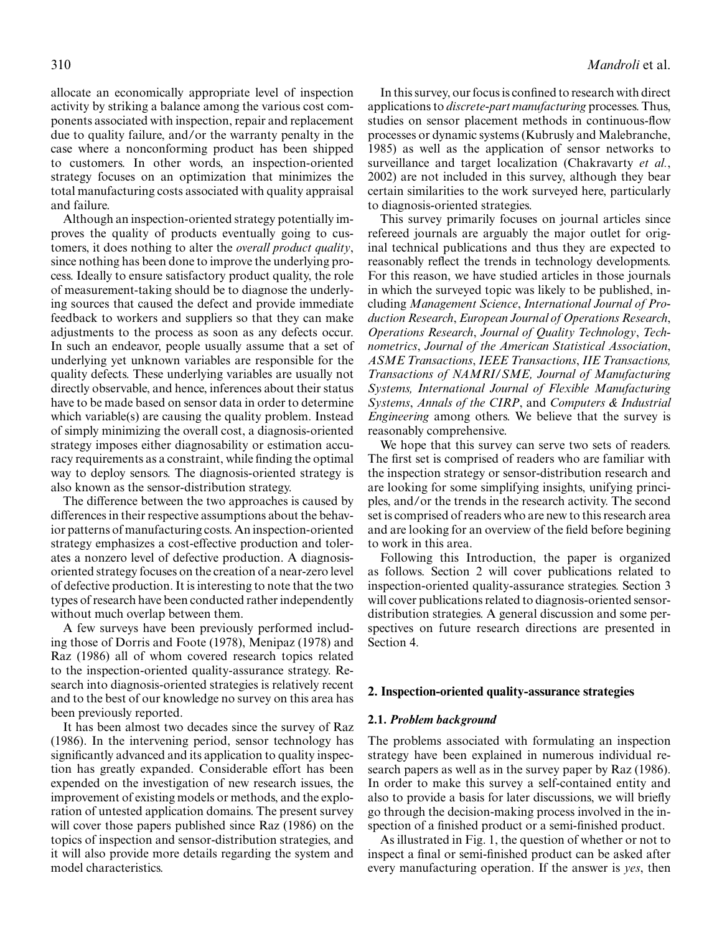allocate an economically appropriate level of inspection activity by striking a balance among the various cost components associated with inspection, repair and replacement due to quality failure, and/or the warranty penalty in the case where a nonconforming product has been shipped to customers. In other words, an inspection-oriented strategy focuses on an optimization that minimizes the total manufacturing costs associated with quality appraisal and failure.

Although an inspection-oriented strategy potentially improves the quality of products eventually going to customers, it does nothing to alter the *overall product quality*, since nothing has been done to improve the underlying process. Ideally to ensure satisfactory product quality, the role of measurement-taking should be to diagnose the underlying sources that caused the defect and provide immediate feedback to workers and suppliers so that they can make adjustments to the process as soon as any defects occur. In such an endeavor, people usually assume that a set of underlying yet unknown variables are responsible for the quality defects. These underlying variables are usually not directly observable, and hence, inferences about their status have to be made based on sensor data in order to determine which variable(s) are causing the quality problem. Instead of simply minimizing the overall cost, a diagnosis-oriented strategy imposes either diagnosability or estimation accuracy requirements as a constraint, while finding the optimal way to deploy sensors. The diagnosis-oriented strategy is also known as the sensor-distribution strategy.

The difference between the two approaches is caused by differences in their respective assumptions about the behavior patterns of manufacturing costs. An inspection-oriented strategy emphasizes a cost-effective production and tolerates a nonzero level of defective production. A diagnosisoriented strategy focuses on the creation of a near-zero level of defective production. It is interesting to note that the two types of research have been conducted rather independently without much overlap between them.

A few surveys have been previously performed including those of Dorris and Foote (1978), Menipaz (1978) and Raz (1986) all of whom covered research topics related to the inspection-oriented quality-assurance strategy. Research into diagnosis-oriented strategies is relatively recent and to the best of our knowledge no survey on this area has been previously reported.

It has been almost two decades since the survey of Raz (1986). In the intervening period, sensor technology has significantly advanced and its application to quality inspection has greatly expanded. Considerable effort has been expended on the investigation of new research issues, the improvement of existing models or methods, and the exploration of untested application domains. The present survey will cover those papers published since Raz (1986) on the topics of inspection and sensor-distribution strategies, and it will also provide more details regarding the system and model characteristics.

In this survey, our focus is confined to research with direct applications to *discrete-part manufacturing* processes. Thus, studies on sensor placement methods in continuous-flow processes or dynamic systems (Kubrusly and Malebranche, 1985) as well as the application of sensor networks to surveillance and target localization (Chakravarty *et al.*, 2002) are not included in this survey, although they bear certain similarities to the work surveyed here, particularly to diagnosis-oriented strategies.

This survey primarily focuses on journal articles since refereed journals are arguably the major outlet for original technical publications and thus they are expected to reasonably reflect the trends in technology developments. For this reason, we have studied articles in those journals in which the surveyed topic was likely to be published, including *Management Science*, *International Journal of Production Research*, *European Journal of Operations Research*, *Operations Research*, *Journal of Quality Technology*, *Technometrics*, *Journal of the American Statistical Association*, *ASME Transactions*, *IEEE Transactions*, *IIE Transactions, Transactions of NAMRI/SME, Journal of Manufacturing Systems, International Journal of Flexible Manufacturing Systems*, *Annals of the CIRP*, and *Computers & Industrial Engineering* among others. We believe that the survey is reasonably comprehensive.

We hope that this survey can serve two sets of readers. The first set is comprised of readers who are familiar with the inspection strategy or sensor-distribution research and are looking for some simplifying insights, unifying principles, and/or the trends in the research activity. The second set is comprised of readers who are new to this research area and are looking for an overview of the field before begining to work in this area.

Following this Introduction, the paper is organized as follows. Section 2 will cover publications related to inspection-oriented quality-assurance strategies. Section 3 will cover publications related to diagnosis-oriented sensordistribution strategies. A general discussion and some perspectives on future research directions are presented in Section 4.

## **2. Inspection-oriented quality-assurance strategies**

#### **2.1.** *Problem background*

The problems associated with formulating an inspection strategy have been explained in numerous individual research papers as well as in the survey paper by Raz (1986). In order to make this survey a self-contained entity and also to provide a basis for later discussions, we will briefly go through the decision-making process involved in the inspection of a finished product or a semi-finished product.

As illustrated in Fig. 1, the question of whether or not to inspect a final or semi-finished product can be asked after every manufacturing operation. If the answer is *yes*, then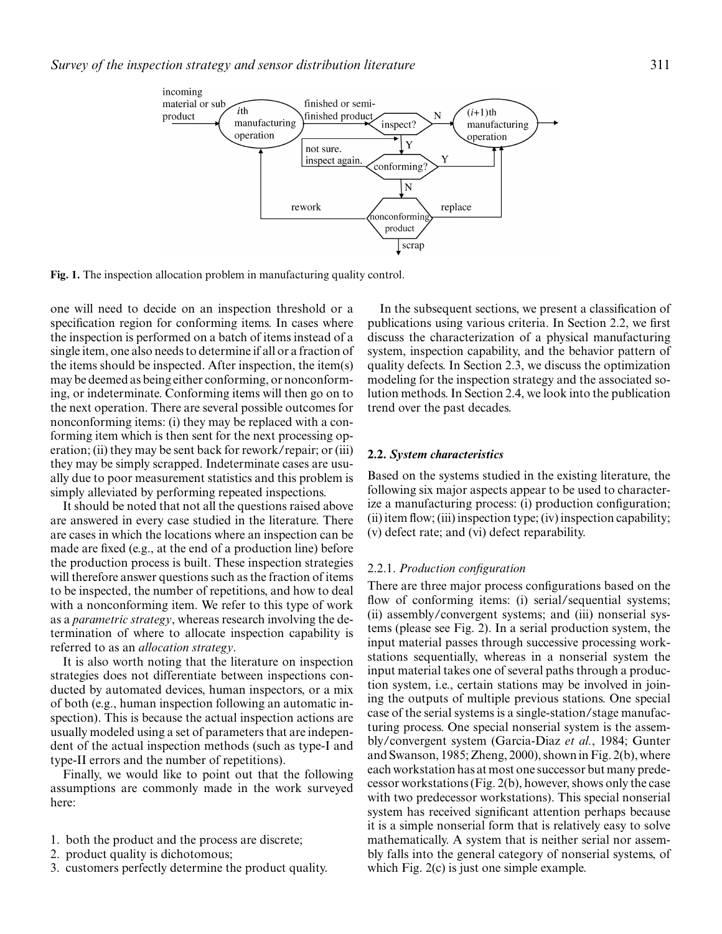

**Fig. 1.** The inspection allocation problem in manufacturing quality control.

one will need to decide on an inspection threshold or a specification region for conforming items. In cases where the inspection is performed on a batch of items instead of a single item, one also needs to determine if all or a fraction of the items should be inspected. After inspection, the item(s) may be deemed as being either conforming, or nonconforming, or indeterminate. Conforming items will then go on to the next operation. There are several possible outcomes for nonconforming items: (i) they may be replaced with a conforming item which is then sent for the next processing operation; (ii) they may be sent back for rework/repair; or (iii) they may be simply scrapped. Indeterminate cases are usually due to poor measurement statistics and this problem is simply alleviated by performing repeated inspections.

It should be noted that not all the questions raised above are answered in every case studied in the literature. There are cases in which the locations where an inspection can be made are fixed (e.g., at the end of a production line) before the production process is built. These inspection strategies will therefore answer questions such as the fraction of items to be inspected, the number of repetitions, and how to deal with a nonconforming item. We refer to this type of work as a *parametric strategy*, whereas research involving the determination of where to allocate inspection capability is referred to as an *allocation strategy*.

It is also worth noting that the literature on inspection strategies does not differentiate between inspections conducted by automated devices, human inspectors, or a mix of both (e.g., human inspection following an automatic inspection). This is because the actual inspection actions are usually modeled using a set of parameters that are independent of the actual inspection methods (such as type-I and type-II errors and the number of repetitions).

Finally, we would like to point out that the following assumptions are commonly made in the work surveyed here:

- 1. both the product and the process are discrete;
- 2. product quality is dichotomous;
- 3. customers perfectly determine the product quality.

In the subsequent sections, we present a classification of publications using various criteria. In Section 2.2, we first discuss the characterization of a physical manufacturing system, inspection capability, and the behavior pattern of quality defects. In Section 2.3, we discuss the optimization modeling for the inspection strategy and the associated solution methods. In Section 2.4, we look into the publication trend over the past decades.

#### **2.2.** *System characteristics*

Based on the systems studied in the existing literature, the following six major aspects appear to be used to characterize a manufacturing process: (i) production configuration; (ii) item flow; (iii) inspection type; (iv) inspection capability; (v) defect rate; and (vi) defect reparability.

#### 2.2.1. *Production configuration*

There are three major process configurations based on the flow of conforming items: (i) serial/sequential systems; (ii) assembly/convergent systems; and (iii) nonserial systems (please see Fig. 2). In a serial production system, the input material passes through successive processing workstations sequentially, whereas in a nonserial system the input material takes one of several paths through a production system, i.e., certain stations may be involved in joining the outputs of multiple previous stations. One special case of the serial systems is a single-station/stage manufacturing process. One special nonserial system is the assembly/convergent system (Garcia-Diaz *et al.*, 1984; Gunter and Swanson, 1985; Zheng, 2000), shown in Fig. 2(b), where each workstation has at most one successor but many predecessor workstations (Fig. 2(b), however, shows only the case with two predecessor workstations). This special nonserial system has received significant attention perhaps because it is a simple nonserial form that is relatively easy to solve mathematically. A system that is neither serial nor assembly falls into the general category of nonserial systems, of which Fig. 2(c) is just one simple example.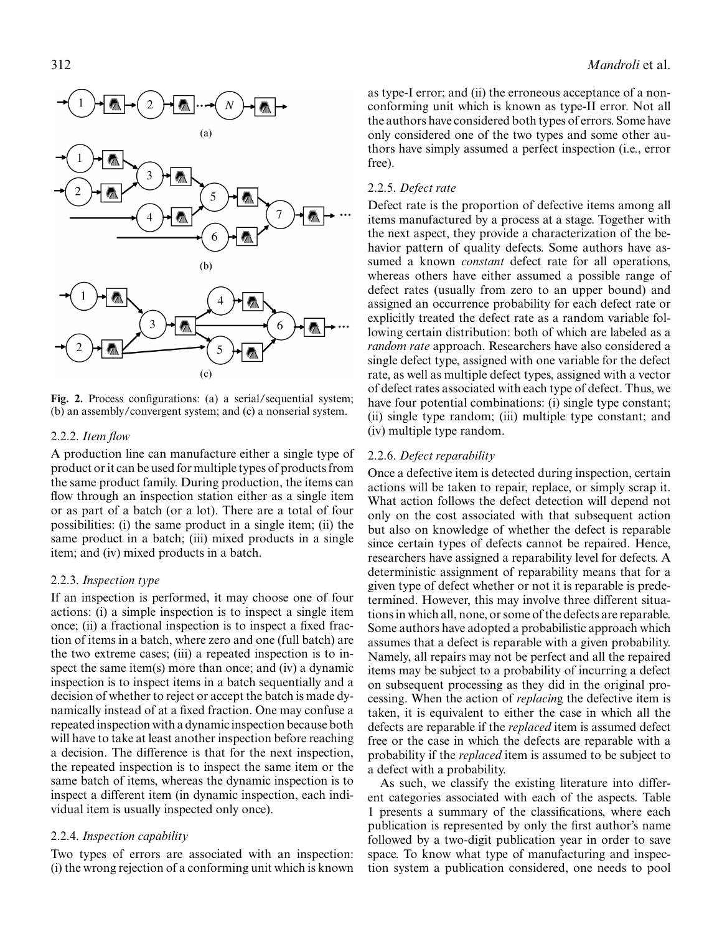

**Fig. 2.** Process configurations: (a) a serial/sequential system; (b) an assembly/convergent system; and (c) a nonserial system.

#### 2.2.2. *Item flow*

A production line can manufacture either a single type of product or it can be used for multiple types of products from the same product family. During production, the items can flow through an inspection station either as a single item or as part of a batch (or a lot). There are a total of four possibilities: (i) the same product in a single item; (ii) the same product in a batch; (iii) mixed products in a single item; and (iv) mixed products in a batch.

## 2.2.3. *Inspection type*

If an inspection is performed, it may choose one of four actions: (i) a simple inspection is to inspect a single item once; (ii) a fractional inspection is to inspect a fixed fraction of items in a batch, where zero and one (full batch) are the two extreme cases; (iii) a repeated inspection is to inspect the same item(s) more than once; and (iv) a dynamic inspection is to inspect items in a batch sequentially and a decision of whether to reject or accept the batch is made dynamically instead of at a fixed fraction. One may confuse a repeated inspection with a dynamic inspection because both will have to take at least another inspection before reaching a decision. The difference is that for the next inspection, the repeated inspection is to inspect the same item or the same batch of items, whereas the dynamic inspection is to inspect a different item (in dynamic inspection, each individual item is usually inspected only once).

## 2.2.4. *Inspection capability*

Two types of errors are associated with an inspection: (i) the wrong rejection of a conforming unit which is known as type-I error; and (ii) the erroneous acceptance of a nonconforming unit which is known as type-II error. Not all the authors have considered both types of errors. Some have only considered one of the two types and some other authors have simply assumed a perfect inspection (i.e., error free).

## 2.2.5. *Defect rate*

Defect rate is the proportion of defective items among all items manufactured by a process at a stage. Together with the next aspect, they provide a characterization of the behavior pattern of quality defects. Some authors have assumed a known *constant* defect rate for all operations, whereas others have either assumed a possible range of defect rates (usually from zero to an upper bound) and assigned an occurrence probability for each defect rate or explicitly treated the defect rate as a random variable following certain distribution: both of which are labeled as a *random rate* approach. Researchers have also considered a single defect type, assigned with one variable for the defect rate, as well as multiple defect types, assigned with a vector of defect rates associated with each type of defect. Thus, we have four potential combinations: (i) single type constant; (ii) single type random; (iii) multiple type constant; and (iv) multiple type random.

# 2.2.6. *Defect reparability*

Once a defective item is detected during inspection, certain actions will be taken to repair, replace, or simply scrap it. What action follows the defect detection will depend not only on the cost associated with that subsequent action but also on knowledge of whether the defect is reparable since certain types of defects cannot be repaired. Hence, researchers have assigned a reparability level for defects. A deterministic assignment of reparability means that for a given type of defect whether or not it is reparable is predetermined. However, this may involve three different situations in which all, none, or some of the defects are reparable. Some authors have adopted a probabilistic approach which assumes that a defect is reparable with a given probability. Namely, all repairs may not be perfect and all the repaired items may be subject to a probability of incurring a defect on subsequent processing as they did in the original processing. When the action of *replacin*g the defective item is taken, it is equivalent to either the case in which all the defects are reparable if the *replaced* item is assumed defect free or the case in which the defects are reparable with a probability if the *replaced* item is assumed to be subject to a defect with a probability.

As such, we classify the existing literature into different categories associated with each of the aspects. Table 1 presents a summary of the classifications, where each publication is represented by only the first author's name followed by a two-digit publication year in order to save space. To know what type of manufacturing and inspection system a publication considered, one needs to pool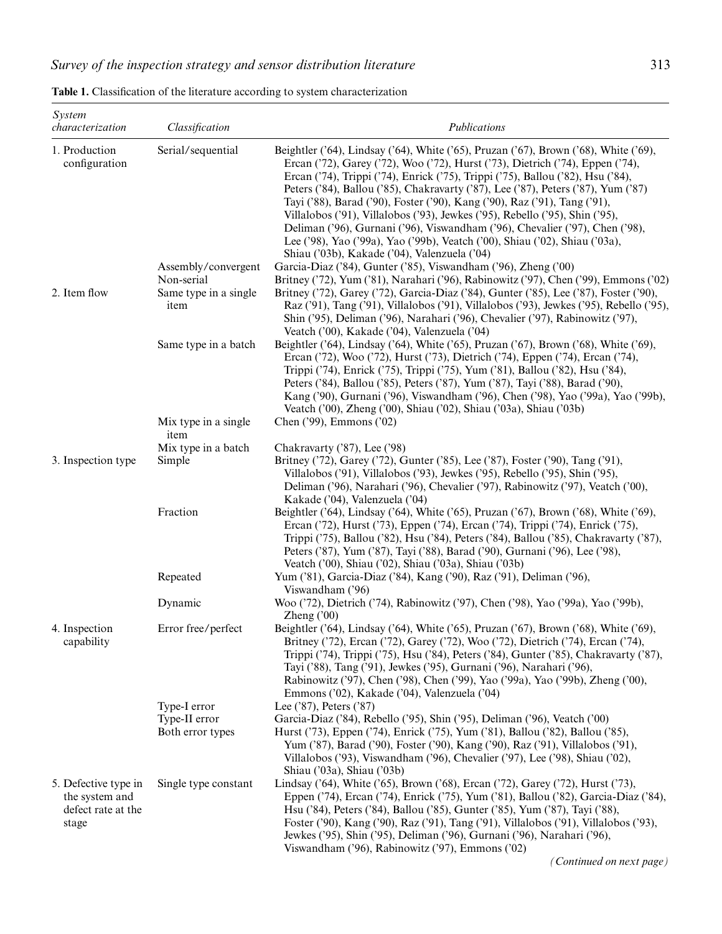| <i>System</i><br>characterization                                     | Classification                              | Publications                                                                                                                                                                                                                                                                                                                                                                                                                                                                                                                                                                                                                                                                                                               |
|-----------------------------------------------------------------------|---------------------------------------------|----------------------------------------------------------------------------------------------------------------------------------------------------------------------------------------------------------------------------------------------------------------------------------------------------------------------------------------------------------------------------------------------------------------------------------------------------------------------------------------------------------------------------------------------------------------------------------------------------------------------------------------------------------------------------------------------------------------------------|
| 1. Production<br>configuration                                        | Serial/sequential                           | Beightler ('64), Lindsay ('64), White ('65), Pruzan ('67), Brown ('68), White ('69),<br>Ercan ('72), Garey ('72), Woo ('72), Hurst ('73), Dietrich ('74), Eppen ('74),<br>Ercan ('74), Trippi ('74), Enrick ('75), Trippi ('75), Ballou ('82), Hsu ('84),<br>Peters ('84), Ballou ('85), Chakravarty ('87), Lee ('87), Peters ('87), Yum ('87)<br>Tayi ('88), Barad ('90), Foster ('90), Kang ('90), Raz ('91), Tang ('91),<br>Villalobos ('91), Villalobos ('93), Jewkes ('95), Rebello ('95), Shin ('95),<br>Deliman ('96), Gurnani ('96), Viswandham ('96), Chevalier ('97), Chen ('98),<br>Lee ('98), Yao ('99a), Yao ('99b), Veatch ('00), Shiau ('02), Shiau ('03a),<br>Shiau ('03b), Kakade ('04), Valenzuela ('04) |
|                                                                       | Assembly/convergent                         | Garcia-Diaz ('84), Gunter ('85), Viswandham ('96), Zheng ('00)                                                                                                                                                                                                                                                                                                                                                                                                                                                                                                                                                                                                                                                             |
| 2. Item flow                                                          | Non-serial<br>Same type in a single<br>item | Britney ('72), Yum ('81), Narahari ('96), Rabinowitz ('97), Chen ('99), Emmons ('02)<br>Britney ('72), Garey ('72), Garcia-Diaz ('84), Gunter ('85), Lee ('87), Foster ('90),<br>Raz ('91), Tang ('91), Villalobos ('91), Villalobos ('93), Jewkes ('95), Rebello ('95),<br>Shin ('95), Deliman ('96), Narahari ('96), Chevalier ('97), Rabinowitz ('97),<br>Veatch ('00), Kakade ('04), Valenzuela ('04)                                                                                                                                                                                                                                                                                                                  |
|                                                                       | Same type in a batch                        | Beightler ('64), Lindsay ('64), White ('65), Pruzan ('67), Brown ('68), White ('69),<br>Ercan ('72), Woo ('72), Hurst ('73), Dietrich ('74), Eppen ('74), Ercan ('74),<br>Trippi ('74), Enrick ('75), Trippi ('75), Yum ('81), Ballou ('82), Hsu ('84),<br>Peters ('84), Ballou ('85), Peters ('87), Yum ('87), Tayi ('88), Barad ('90),<br>Kang ('90), Gurnani ('96), Viswandham ('96), Chen ('98), Yao ('99a), Yao ('99b),<br>Veatch ('00), Zheng ('00), Shiau ('02), Shiau ('03a), Shiau ('03b)                                                                                                                                                                                                                         |
|                                                                       | Mix type in a single<br>item                | Chen $('99)$ , Emmons $('02)$                                                                                                                                                                                                                                                                                                                                                                                                                                                                                                                                                                                                                                                                                              |
|                                                                       | Mix type in a batch                         | Chakravarty ('87), Lee ('98)                                                                                                                                                                                                                                                                                                                                                                                                                                                                                                                                                                                                                                                                                               |
| 3. Inspection type                                                    | Simple                                      | Britney ('72), Garey ('72), Gunter ('85), Lee ('87), Foster ('90), Tang ('91),<br>Villalobos ('91), Villalobos ('93), Jewkes ('95), Rebello ('95), Shin ('95),<br>Deliman ('96), Narahari ('96), Chevalier ('97), Rabinowitz ('97), Veatch ('00),<br>Kakade ('04), Valenzuela ('04)                                                                                                                                                                                                                                                                                                                                                                                                                                        |
|                                                                       | Fraction                                    | Beightler ('64), Lindsay ('64), White ('65), Pruzan ('67), Brown ('68), White ('69),<br>Ercan ('72), Hurst ('73), Eppen ('74), Ercan ('74), Trippi ('74), Enrick ('75),<br>Trippi ('75), Ballou ('82), Hsu ('84), Peters ('84), Ballou ('85), Chakravarty ('87),<br>Peters ('87), Yum ('87), Tayi ('88), Barad ('90), Gurnani ('96), Lee ('98),<br>Veatch ('00), Shiau ('02), Shiau ('03a), Shiau ('03b)                                                                                                                                                                                                                                                                                                                   |
|                                                                       | Repeated                                    | Yum ('81), Garcia-Diaz ('84), Kang ('90), Raz ('91), Deliman ('96),<br>Viswandham ('96)                                                                                                                                                                                                                                                                                                                                                                                                                                                                                                                                                                                                                                    |
|                                                                       | Dynamic                                     | Woo ('72), Dietrich ('74), Rabinowitz ('97), Chen ('98), Yao ('99a), Yao ('99b),<br>Zheng $(00)$                                                                                                                                                                                                                                                                                                                                                                                                                                                                                                                                                                                                                           |
| 4. Inspection<br>capability                                           | Error free/perfect                          | Beightler ('64), Lindsay ('64), White ('65), Pruzan ('67), Brown ('68), White ('69),<br>Britney ('72), Ercan ('72), Garey ('72), Woo ('72), Dietrich ('74), Ercan ('74),<br>Trippi ('74), Trippi ('75), Hsu ('84), Peters ('84), Gunter ('85), Chakravarty ('87),<br>Tayi ('88), Tang ('91), Jewkes ('95), Gurnani ('96), Narahari ('96),<br>Rabinowitz ('97), Chen ('98), Chen ('99), Yao ('99a), Yao ('99b), Zheng ('00),<br>Emmons ('02), Kakade ('04), Valenzuela ('04)                                                                                                                                                                                                                                                |
|                                                                       | Type-I error                                | Lee $('87)$ , Peters $('87)$                                                                                                                                                                                                                                                                                                                                                                                                                                                                                                                                                                                                                                                                                               |
|                                                                       | Type-II error<br>Both error types           | Garcia-Diaz ('84), Rebello ('95), Shin ('95), Deliman ('96), Veatch ('00)<br>Hurst ('73), Eppen ('74), Enrick ('75), Yum ('81), Ballou ('82), Ballou ('85),<br>Yum ('87), Barad ('90), Foster ('90), Kang ('90), Raz ('91), Villalobos ('91),<br>Villalobos ('93), Viswandham ('96), Chevalier ('97), Lee ('98), Shiau ('02),<br>Shiau ('03a), Shiau ('03b)                                                                                                                                                                                                                                                                                                                                                                |
| 5. Defective type in<br>the system and<br>defect rate at the<br>stage | Single type constant                        | Lindsay ('64), White ('65), Brown ('68), Ercan ('72), Garey ('72), Hurst ('73),<br>Eppen ('74), Ercan ('74), Enrick ('75), Yum ('81), Ballou ('82), Garcia-Diaz ('84),<br>Hsu ('84), Peters ('84), Ballou ('85), Gunter ('85), Yum ('87), Tayi ('88),<br>Foster ('90), Kang ('90), Raz ('91), Tang ('91), Villalobos ('91), Villalobos ('93),<br>Jewkes ('95), Shin ('95), Deliman ('96), Gurnani ('96), Narahari ('96),<br>Viswandham ('96), Rabinowitz ('97), Emmons ('02)                                                                                                                                                                                                                                               |
|                                                                       |                                             | (Continued on next nage)                                                                                                                                                                                                                                                                                                                                                                                                                                                                                                                                                                                                                                                                                                   |

# **Table 1.** Classification of the literature according to system characterization

*(Continued on next page)*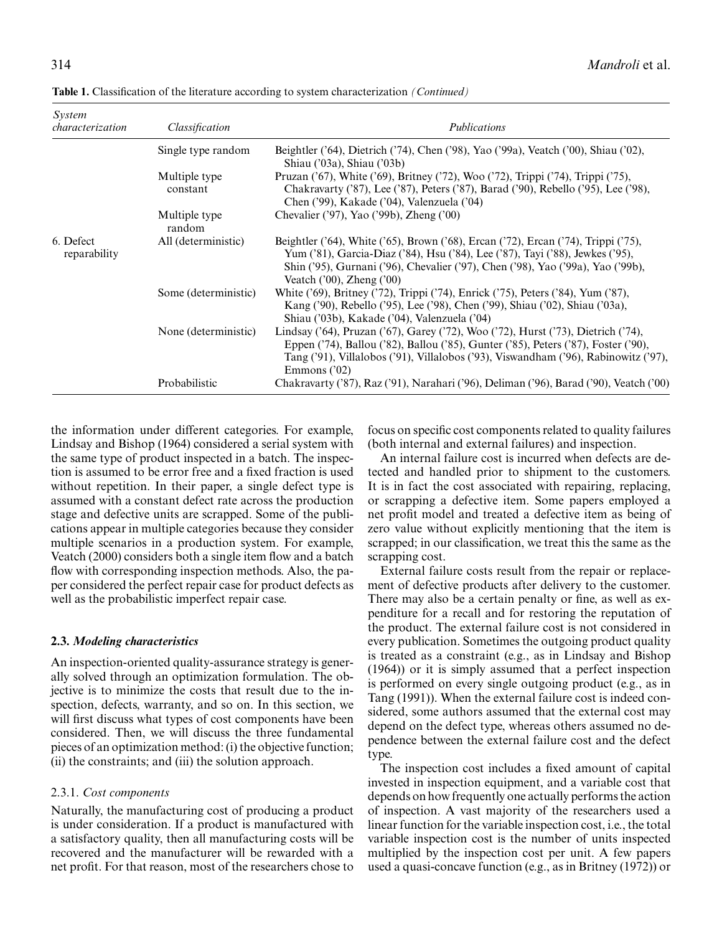| System<br>characterization | Classification            | Publications                                                                                                                                                                                                                                                                           |
|----------------------------|---------------------------|----------------------------------------------------------------------------------------------------------------------------------------------------------------------------------------------------------------------------------------------------------------------------------------|
|                            | Single type random        | Beightler ('64), Dietrich ('74), Chen ('98), Yao ('99a), Veatch ('00), Shiau ('02),<br>Shiau ('03a), Shiau ('03b)                                                                                                                                                                      |
|                            | Multiple type<br>constant | Pruzan ('67), White ('69), Britney ('72), Woo ('72), Trippi ('74), Trippi ('75),<br>Chakravarty ('87), Lee ('87), Peters ('87), Barad ('90), Rebello ('95), Lee ('98),<br>Chen ('99), Kakade ('04), Valenzuela ('04)                                                                   |
|                            | Multiple type<br>random   | Chevalier ('97), Yao ('99b), Zheng ('00)                                                                                                                                                                                                                                               |
| 6. Defect<br>reparability  | All (deterministic)       | Beightler ('64), White ('65), Brown ('68), Ercan ('72), Ercan ('74), Trippi ('75),<br>Yum ('81), Garcia-Diaz ('84), Hsu ('84), Lee ('87), Tayi ('88), Jewkes ('95),<br>Shin ('95), Gurnani ('96), Chevalier ('97), Chen ('98), Yao ('99a), Yao ('99b),<br>Veatch $(00)$ , Zheng $(00)$ |
|                            | Some (deterministic)      | White ('69), Britney ('72), Trippi ('74), Enrick ('75), Peters ('84), Yum ('87),<br>Kang ('90), Rebello ('95), Lee ('98), Chen ('99), Shiau ('02), Shiau ('03a),<br>Shiau ('03b), Kakade ('04), Valenzuela ('04)                                                                       |
|                            | None (deterministic)      | Lindsay ('64), Pruzan ('67), Garey ('72), Woo ('72), Hurst ('73), Dietrich ('74),<br>Eppen ('74), Ballou ('82), Ballou ('85), Gunter ('85), Peters ('87), Foster ('90),<br>Tang ('91), Villalobos ('91), Villalobos ('93), Viswandham ('96), Rabinowitz ('97),<br>Emmons $(2)$         |
|                            | Probabilistic             | Chakravarty ('87), Raz ('91), Narahari ('96), Deliman ('96), Barad ('90), Veatch ('00)                                                                                                                                                                                                 |

**Table 1.** Classification of the literature according to system characterization *(Continued)*

the information under different categories. For example, Lindsay and Bishop (1964) considered a serial system with the same type of product inspected in a batch. The inspection is assumed to be error free and a fixed fraction is used without repetition. In their paper, a single defect type is assumed with a constant defect rate across the production stage and defective units are scrapped. Some of the publications appear in multiple categories because they consider multiple scenarios in a production system. For example, Veatch (2000) considers both a single item flow and a batch flow with corresponding inspection methods. Also, the paper considered the perfect repair case for product defects as well as the probabilistic imperfect repair case.

## **2.3.** *Modeling characteristics*

An inspection-oriented quality-assurance strategy is generally solved through an optimization formulation. The objective is to minimize the costs that result due to the inspection, defects, warranty, and so on. In this section, we will first discuss what types of cost components have been considered. Then, we will discuss the three fundamental pieces of an optimization method: (i) the objective function; (ii) the constraints; and (iii) the solution approach.

## 2.3.1. *Cost components*

Naturally, the manufacturing cost of producing a product is under consideration. If a product is manufactured with a satisfactory quality, then all manufacturing costs will be recovered and the manufacturer will be rewarded with a net profit. For that reason, most of the researchers chose to

focus on specific cost components related to quality failures (both internal and external failures) and inspection.

An internal failure cost is incurred when defects are detected and handled prior to shipment to the customers. It is in fact the cost associated with repairing, replacing, or scrapping a defective item. Some papers employed a net profit model and treated a defective item as being of zero value without explicitly mentioning that the item is scrapped; in our classification, we treat this the same as the scrapping cost.

External failure costs result from the repair or replacement of defective products after delivery to the customer. There may also be a certain penalty or fine, as well as expenditure for a recall and for restoring the reputation of the product. The external failure cost is not considered in every publication. Sometimes the outgoing product quality is treated as a constraint (e.g., as in Lindsay and Bishop (1964)) or it is simply assumed that a perfect inspection is performed on every single outgoing product (e.g., as in Tang (1991)). When the external failure cost is indeed considered, some authors assumed that the external cost may depend on the defect type, whereas others assumed no dependence between the external failure cost and the defect type.

The inspection cost includes a fixed amount of capital invested in inspection equipment, and a variable cost that depends on how frequently one actually performs the action of inspection. A vast majority of the researchers used a linear function for the variable inspection cost, i.e., the total variable inspection cost is the number of units inspected multiplied by the inspection cost per unit. A few papers used a quasi-concave function (e.g., as in Britney (1972)) or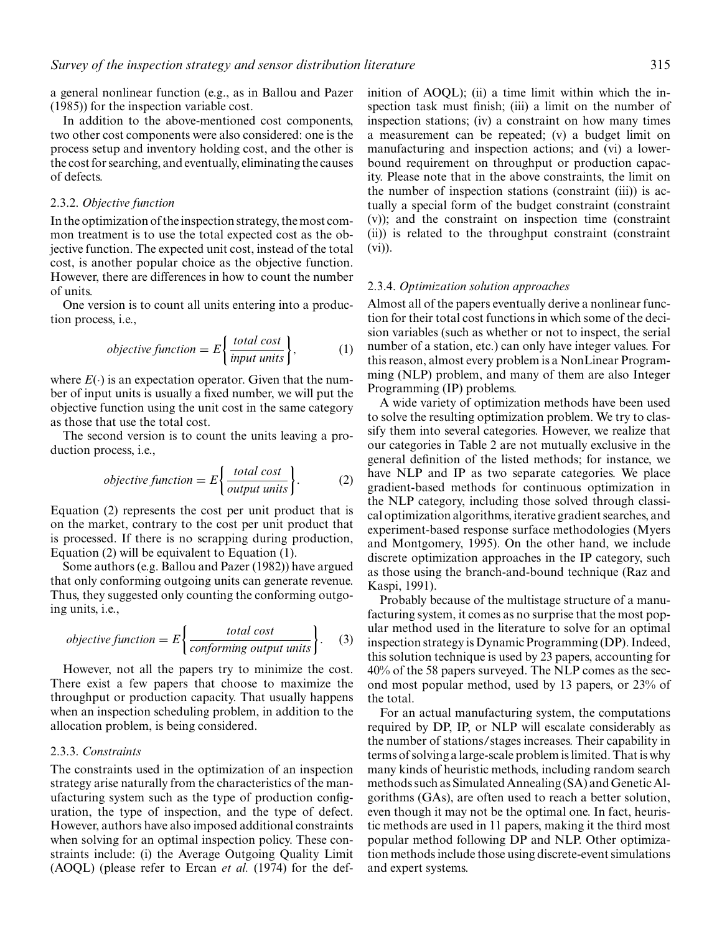a general nonlinear function (e.g., as in Ballou and Pazer (1985)) for the inspection variable cost.

In addition to the above-mentioned cost components, two other cost components were also considered: one is the process setup and inventory holding cost, and the other is the cost for searching, and eventually, eliminating the causes of defects.

#### 2.3.2. *Objective function*

In the optimization of the inspection strategy, the most common treatment is to use the total expected cost as the objective function. The expected unit cost, instead of the total cost, is another popular choice as the objective function. However, there are differences in how to count the number of units.

One version is to count all units entering into a production process, i.e.,

$$
objective function = E\left\{\frac{total\ cost}{input\ units}\right\},\tag{1}
$$

where  $E(\cdot)$  is an expectation operator. Given that the number of input units is usually a fixed number, we will put the objective function using the unit cost in the same category as those that use the total cost.

The second version is to count the units leaving a production process, i.e.,

$$
objective function = E\left\{\frac{total\ cost}{output\ units}\right\}.
$$
 (2)

Equation (2) represents the cost per unit product that is on the market, contrary to the cost per unit product that is processed. If there is no scrapping during production, Equation (2) will be equivalent to Equation (1).

Some authors (e.g. Ballou and Pazer (1982)) have argued that only conforming outgoing units can generate revenue. Thus, they suggested only counting the conforming outgoing units, i.e.,

$$
objective function = E\left\{\frac{total\ cost}{conforming\ output\ units}\right\}.
$$
 (3)

However, not all the papers try to minimize the cost. There exist a few papers that choose to maximize the throughput or production capacity. That usually happens when an inspection scheduling problem, in addition to the allocation problem, is being considered.

#### 2.3.3. *Constraints*

The constraints used in the optimization of an inspection strategy arise naturally from the characteristics of the manufacturing system such as the type of production configuration, the type of inspection, and the type of defect. However, authors have also imposed additional constraints when solving for an optimal inspection policy. These constraints include: (i) the Average Outgoing Quality Limit (AOQL) (please refer to Ercan *et al.* (1974) for the definition of AOQL); (ii) a time limit within which the inspection task must finish; (iii) a limit on the number of inspection stations; (iv) a constraint on how many times a measurement can be repeated; (v) a budget limit on manufacturing and inspection actions; and (vi) a lowerbound requirement on throughput or production capacity. Please note that in the above constraints, the limit on the number of inspection stations (constraint (iii)) is actually a special form of the budget constraint (constraint (v)); and the constraint on inspection time (constraint (ii)) is related to the throughput constraint (constraint (vi)).

#### 2.3.4. *Optimization solution approaches*

Almost all of the papers eventually derive a nonlinear function for their total cost functions in which some of the decision variables (such as whether or not to inspect, the serial number of a station, etc.) can only have integer values. For this reason, almost every problem is a NonLinear Programming (NLP) problem, and many of them are also Integer Programming (IP) problems.

A wide variety of optimization methods have been used to solve the resulting optimization problem. We try to classify them into several categories. However, we realize that our categories in Table 2 are not mutually exclusive in the general definition of the listed methods; for instance, we have NLP and IP as two separate categories. We place gradient-based methods for continuous optimization in the NLP category, including those solved through classical optimization algorithms, iterative gradient searches, and experiment-based response surface methodologies (Myers and Montgomery, 1995). On the other hand, we include discrete optimization approaches in the IP category, such as those using the branch-and-bound technique (Raz and Kaspi, 1991).

Probably because of the multistage structure of a manufacturing system, it comes as no surprise that the most popular method used in the literature to solve for an optimal inspection strategy is Dynamic Programming (DP). Indeed, this solution technique is used by 23 papers, accounting for 40% of the 58 papers surveyed. The NLP comes as the second most popular method, used by 13 papers, or 23% of the total.

For an actual manufacturing system, the computations required by DP, IP, or NLP will escalate considerably as the number of stations/stages increases. Their capability in terms of solving a large-scale problem is limited. That is why many kinds of heuristic methods, including random search methods such as Simulated Annealing (SA) and Genetic Algorithms (GAs), are often used to reach a better solution, even though it may not be the optimal one. In fact, heuristic methods are used in 11 papers, making it the third most popular method following DP and NLP. Other optimization methods include those using discrete-event simulations and expert systems.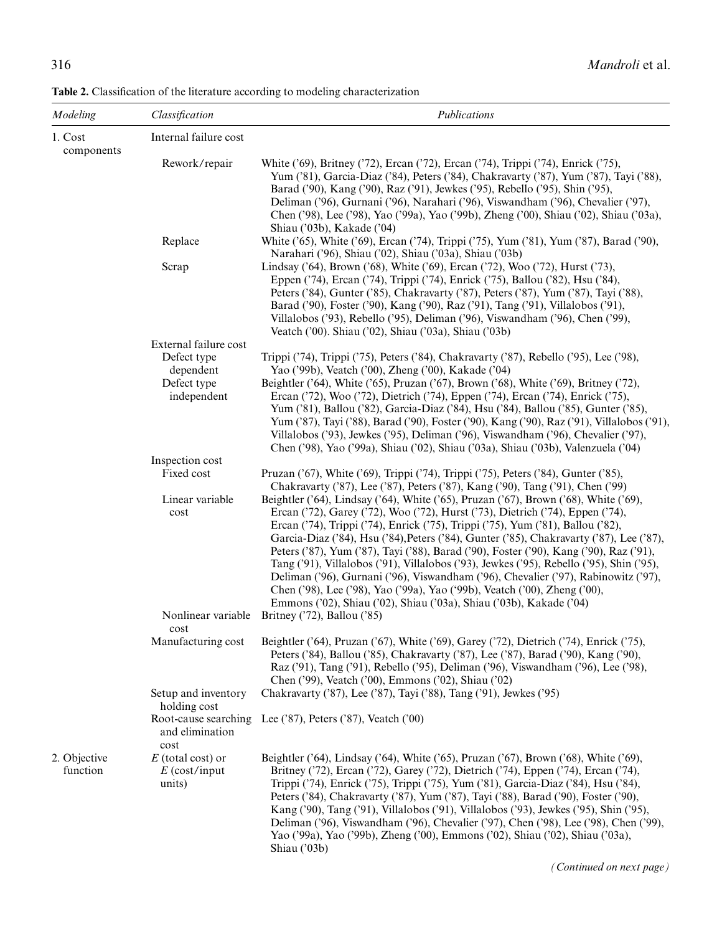**Table 2.** Classification of the literature according to modeling characterization

| Modeling                 | Classification                                   | Publications                                                                                                                                                                                                                                                                                                                                                                                                                                                                                                                                                                                                                                                                                                                                                                         |
|--------------------------|--------------------------------------------------|--------------------------------------------------------------------------------------------------------------------------------------------------------------------------------------------------------------------------------------------------------------------------------------------------------------------------------------------------------------------------------------------------------------------------------------------------------------------------------------------------------------------------------------------------------------------------------------------------------------------------------------------------------------------------------------------------------------------------------------------------------------------------------------|
| 1. Cost                  | Internal failure cost                            |                                                                                                                                                                                                                                                                                                                                                                                                                                                                                                                                                                                                                                                                                                                                                                                      |
| components               | Rework/repair                                    | White ('69), Britney ('72), Ercan ('72), Ercan ('74), Trippi ('74), Enrick ('75),<br>Yum ('81), Garcia-Diaz ('84), Peters ('84), Chakravarty ('87), Yum ('87), Tayi ('88),<br>Barad ('90), Kang ('90), Raz ('91), Jewkes ('95), Rebello ('95), Shin ('95),<br>Deliman ('96), Gurnani ('96), Narahari ('96), Viswandham ('96), Chevalier ('97),<br>Chen ('98), Lee ('98), Yao ('99a), Yao ('99b), Zheng ('00), Shiau ('02), Shiau ('03a),<br>Shiau ('03b), Kakade ('04)                                                                                                                                                                                                                                                                                                               |
|                          | Replace                                          | White ('65), White ('69), Ercan ('74), Trippi ('75), Yum ('81), Yum ('87), Barad ('90),<br>Narahari ('96), Shiau ('02), Shiau ('03a), Shiau ('03b)                                                                                                                                                                                                                                                                                                                                                                                                                                                                                                                                                                                                                                   |
|                          | Scrap                                            | Lindsay ('64), Brown ('68), White ('69), Ercan ('72), Woo ('72), Hurst ('73),<br>Eppen ('74), Ercan ('74), Trippi ('74), Enrick ('75), Ballou ('82), Hsu ('84),<br>Peters ('84), Gunter ('85), Chakravarty ('87), Peters ('87), Yum ('87), Tayi ('88),<br>Barad ('90), Foster ('90), Kang ('90), Raz ('91), Tang ('91), Villalobos ('91),<br>Villalobos ('93), Rebello ('95), Deliman ('96), Viswandham ('96), Chen ('99),<br>Veatch ('00). Shiau ('02), Shiau ('03a), Shiau ('03b)                                                                                                                                                                                                                                                                                                  |
|                          | External failure cost                            |                                                                                                                                                                                                                                                                                                                                                                                                                                                                                                                                                                                                                                                                                                                                                                                      |
|                          | Defect type<br>dependent                         | Trippi ('74), Trippi ('75), Peters ('84), Chakravarty ('87), Rebello ('95), Lee ('98),<br>Yao ('99b), Veatch ('00), Zheng ('00), Kakade ('04)                                                                                                                                                                                                                                                                                                                                                                                                                                                                                                                                                                                                                                        |
|                          | Defect type<br>independent                       | Beightler ('64), White ('65), Pruzan ('67), Brown ('68), White ('69), Britney ('72),<br>Ercan ('72), Woo ('72), Dietrich ('74), Eppen ('74), Ercan ('74), Enrick ('75),<br>Yum ('81), Ballou ('82), Garcia-Diaz ('84), Hsu ('84), Ballou ('85), Gunter ('85),<br>Yum ('87), Tayi ('88), Barad ('90), Foster ('90), Kang ('90), Raz ('91), Villalobos ('91),<br>Villalobos ('93), Jewkes ('95), Deliman ('96), Viswandham ('96), Chevalier ('97),<br>Chen ('98), Yao ('99a), Shiau ('02), Shiau ('03a), Shiau ('03b), Valenzuela ('04)                                                                                                                                                                                                                                                |
|                          | Inspection cost<br>Fixed cost                    | Pruzan ('67), White ('69), Trippi ('74), Trippi ('75), Peters ('84), Gunter ('85),<br>Chakravarty ('87), Lee ('87), Peters ('87), Kang ('90), Tang ('91), Chen ('99)                                                                                                                                                                                                                                                                                                                                                                                                                                                                                                                                                                                                                 |
|                          | Linear variable<br>cost                          | Beightler ('64), Lindsay ('64), White ('65), Pruzan ('67), Brown ('68), White ('69),<br>Ercan ('72), Garey ('72), Woo ('72), Hurst ('73), Dietrich ('74), Eppen ('74),<br>Ercan ('74), Trippi ('74), Enrick ('75), Trippi ('75), Yum ('81), Ballou ('82),<br>Garcia-Diaz ('84), Hsu ('84), Peters ('84), Gunter ('85), Chakravarty ('87), Lee ('87),<br>Peters ('87), Yum ('87), Tayi ('88), Barad ('90), Foster ('90), Kang ('90), Raz ('91),<br>Tang ('91), Villalobos ('91), Villalobos ('93), Jewkes ('95), Rebello ('95), Shin ('95),<br>Deliman ('96), Gurnani ('96), Viswandham ('96), Chevalier ('97), Rabinowitz ('97),<br>Chen ('98), Lee ('98), Yao ('99a), Yao ('99b), Veatch ('00), Zheng ('00),<br>Emmons ('02), Shiau ('02), Shiau ('03a), Shiau ('03b), Kakade ('04) |
|                          | Nonlinear variable                               | Britney $('72)$ , Ballou $('85)$                                                                                                                                                                                                                                                                                                                                                                                                                                                                                                                                                                                                                                                                                                                                                     |
|                          | cost<br>Manufacturing cost                       | Beightler ('64), Pruzan ('67), White ('69), Garey ('72), Dietrich ('74), Enrick ('75),<br>Peters ('84), Ballou ('85), Chakravarty ('87), Lee ('87), Barad ('90), Kang ('90),<br>Raz ('91), Tang ('91), Rebello ('95), Deliman ('96), Viswandham ('96), Lee ('98),<br>Chen ('99), Veatch ('00), Emmons ('02), Shiau ('02)                                                                                                                                                                                                                                                                                                                                                                                                                                                             |
|                          | Setup and inventory<br>holding cost              | Chakravarty ('87), Lee ('87), Tayi ('88), Tang ('91), Jewkes ('95)                                                                                                                                                                                                                                                                                                                                                                                                                                                                                                                                                                                                                                                                                                                   |
|                          | and elimination<br>cost                          | Root-cause searching Lee ('87), Peters ('87), Veatch ('00)                                                                                                                                                                                                                                                                                                                                                                                                                                                                                                                                                                                                                                                                                                                           |
| 2. Objective<br>function | $E$ (total cost) or<br>$E$ (cost/input<br>units) | Beightler ('64), Lindsay ('64), White ('65), Pruzan ('67), Brown ('68), White ('69),<br>Britney ('72), Ercan ('72), Garey ('72), Dietrich ('74), Eppen ('74), Ercan ('74),<br>Trippi ('74), Enrick ('75), Trippi ('75), Yum ('81), Garcia-Diaz ('84), Hsu ('84),<br>Peters ('84), Chakravarty ('87), Yum ('87), Tayi ('88), Barad ('90), Foster ('90),<br>Kang ('90), Tang ('91), Villalobos ('91), Villalobos ('93), Jewkes ('95), Shin ('95),<br>Deliman ('96), Viswandham ('96), Chevalier ('97), Chen ('98), Lee ('98), Chen ('99),<br>Yao ('99a), Yao ('99b), Zheng ('00), Emmons ('02), Shiau ('02), Shiau ('03a),<br>Shiau ('03b)                                                                                                                                             |

*(Continued on next page)*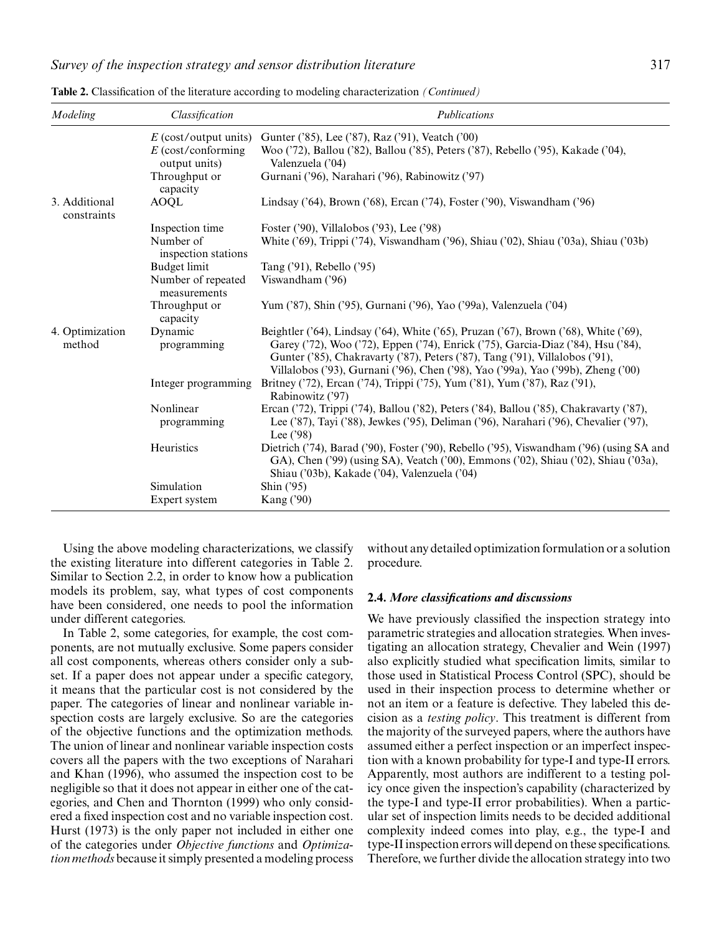| Modeling                     | Classification                                                   | Publications                                                                                                                                                                                                                                                                                                                                 |
|------------------------------|------------------------------------------------------------------|----------------------------------------------------------------------------------------------------------------------------------------------------------------------------------------------------------------------------------------------------------------------------------------------------------------------------------------------|
|                              | $E$ (cost/output units)<br>$E$ (cost/conforming<br>output units) | Gunter ('85), Lee ('87), Raz ('91), Veatch ('00)<br>Woo ('72), Ballou ('82), Ballou ('85), Peters ('87), Rebello ('95), Kakade ('04),<br>Valenzuela ('04)                                                                                                                                                                                    |
|                              | Throughput or<br>capacity                                        | Gurnani ('96), Narahari ('96), Rabinowitz ('97)                                                                                                                                                                                                                                                                                              |
| 3. Additional<br>constraints | AOQL                                                             | Lindsay ('64), Brown ('68), Ercan ('74), Foster ('90), Viswandham ('96)                                                                                                                                                                                                                                                                      |
|                              | Inspection time                                                  | Foster ('90), Villalobos ('93), Lee ('98)                                                                                                                                                                                                                                                                                                    |
|                              | Number of<br>inspection stations                                 | White ('69), Trippi ('74), Viswandham ('96), Shiau ('02), Shiau ('03a), Shiau ('03b)                                                                                                                                                                                                                                                         |
|                              | <b>Budget limit</b>                                              | Tang ('91), Rebello ('95)                                                                                                                                                                                                                                                                                                                    |
|                              | Number of repeated<br>measurements                               | Viswandham ('96)                                                                                                                                                                                                                                                                                                                             |
|                              | Throughput or<br>capacity                                        | Yum ('87), Shin ('95), Gurnani ('96), Yao ('99a), Valenzuela ('04)                                                                                                                                                                                                                                                                           |
| 4. Optimization<br>method    | Dynamic<br>programming                                           | Beightler ('64), Lindsay ('64), White ('65), Pruzan ('67), Brown ('68), White ('69),<br>Garey ('72), Woo ('72), Eppen ('74), Enrick ('75), Garcia-Diaz ('84), Hsu ('84),<br>Gunter ('85), Chakravarty ('87), Peters ('87), Tang ('91), Villalobos ('91),<br>Villalobos ('93), Gurnani ('96), Chen ('98), Yao ('99a), Yao ('99b), Zheng ('00) |
|                              | Integer programming                                              | Britney ('72), Ercan ('74), Trippi ('75), Yum ('81), Yum ('87), Raz ('91),<br>Rabinowitz ('97)                                                                                                                                                                                                                                               |
|                              | Nonlinear<br>programming                                         | Ercan ('72), Trippi ('74), Ballou ('82), Peters ('84), Ballou ('85), Chakravarty ('87),<br>Lee ('87), Tayi ('88), Jewkes ('95), Deliman ('96), Narahari ('96), Chevalier ('97),<br>Lee $('98)$                                                                                                                                               |
|                              | Heuristics                                                       | Dietrich ('74), Barad ('90), Foster ('90), Rebello ('95), Viswandham ('96) (using SA and<br>GA), Chen ('99) (using SA), Veatch ('00), Emmons ('02), Shiau ('02), Shiau ('03a),<br>Shiau ('03b), Kakade ('04), Valenzuela ('04)                                                                                                               |
|                              | Simulation                                                       | Shin ('95)                                                                                                                                                                                                                                                                                                                                   |
|                              | Expert system                                                    | Kang ('90)                                                                                                                                                                                                                                                                                                                                   |

**Table 2.** Classification of the literature according to modeling characterization *(Continued)*

Using the above modeling characterizations, we classify the existing literature into different categories in Table 2. Similar to Section 2.2, in order to know how a publication models its problem, say, what types of cost components have been considered, one needs to pool the information under different categories.

In Table 2, some categories, for example, the cost components, are not mutually exclusive. Some papers consider all cost components, whereas others consider only a subset. If a paper does not appear under a specific category, it means that the particular cost is not considered by the paper. The categories of linear and nonlinear variable inspection costs are largely exclusive. So are the categories of the objective functions and the optimization methods. The union of linear and nonlinear variable inspection costs covers all the papers with the two exceptions of Narahari and Khan (1996), who assumed the inspection cost to be negligible so that it does not appear in either one of the categories, and Chen and Thornton (1999) who only considered a fixed inspection cost and no variable inspection cost. Hurst (1973) is the only paper not included in either one of the categories under *Objective functions* and *Optimization methods* because it simply presented a modeling process

without any detailed optimization formulation or a solution procedure.

## **2.4.** *More classifications and discussions*

We have previously classified the inspection strategy into parametric strategies and allocation strategies. When investigating an allocation strategy, Chevalier and Wein (1997) also explicitly studied what specification limits, similar to those used in Statistical Process Control (SPC), should be used in their inspection process to determine whether or not an item or a feature is defective. They labeled this decision as a *testing policy*. This treatment is different from the majority of the surveyed papers, where the authors have assumed either a perfect inspection or an imperfect inspection with a known probability for type-I and type-II errors. Apparently, most authors are indifferent to a testing policy once given the inspection's capability (characterized by the type-I and type-II error probabilities). When a particular set of inspection limits needs to be decided additional complexity indeed comes into play, e.g., the type-I and type-II inspection errors will depend on these specifications. Therefore, we further divide the allocation strategy into two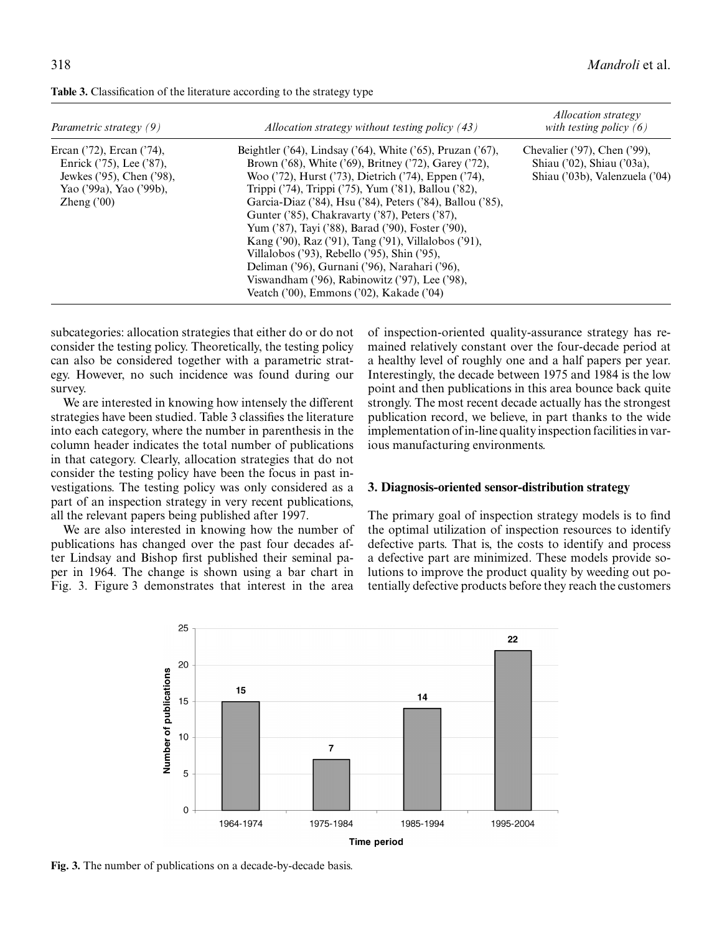| Parametric strategy (9)                                                                                                       | Allocation strategy without testing policy $(43)$                                                                                                                                                                                                                                                                                                                                                                                                                                                                                                                                                                                                                               | <i>Allocation strategy</i><br>with testing policy $(6)$                                      |
|-------------------------------------------------------------------------------------------------------------------------------|---------------------------------------------------------------------------------------------------------------------------------------------------------------------------------------------------------------------------------------------------------------------------------------------------------------------------------------------------------------------------------------------------------------------------------------------------------------------------------------------------------------------------------------------------------------------------------------------------------------------------------------------------------------------------------|----------------------------------------------------------------------------------------------|
| Ercan ('72), Ercan ('74),<br>Enrick ('75), Lee ('87),<br>Jewkes ('95), Chen ('98),<br>Yao ('99a), Yao ('99b),<br>Zheng $(00)$ | Beightler $('64)$ , Lindsay $('64)$ , White $('65)$ , Pruzan $('67)$ ,<br>Brown ('68), White ('69), Britney ('72), Garey ('72),<br>Woo ('72), Hurst ('73), Dietrich ('74), Eppen ('74),<br>Trippi ('74), Trippi ('75), Yum ('81), Ballou ('82),<br>Garcia-Diaz ('84), Hsu ('84), Peters ('84), Ballou ('85),<br>Gunter ('85), Chakravarty ('87), Peters ('87),<br>Yum ('87), Tayi ('88), Barad ('90), Foster ('90),<br>Kang ('90), Raz ('91), Tang ('91), Villalobos ('91),<br>Villalobos ('93), Rebello ('95), Shin ('95),<br>Deliman ('96), Gurnani ('96), Narahari ('96),<br>Viswandham ('96), Rabinowitz ('97), Lee ('98),<br>Veatch $(00)$ , Emmons $(02)$ , Kakade $(04)$ | Chevalier ('97), Chen ('99),<br>Shiau ('02), Shiau ('03a),<br>Shiau ('03b), Valenzuela ('04) |

**Table 3.** Classification of the literature according to the strategy type

subcategories: allocation strategies that either do or do not consider the testing policy. Theoretically, the testing policy can also be considered together with a parametric strategy. However, no such incidence was found during our survey.

We are interested in knowing how intensely the different strategies have been studied. Table 3 classifies the literature into each category, where the number in parenthesis in the column header indicates the total number of publications in that category. Clearly, allocation strategies that do not consider the testing policy have been the focus in past investigations. The testing policy was only considered as a part of an inspection strategy in very recent publications, all the relevant papers being published after 1997.

We are also interested in knowing how the number of publications has changed over the past four decades after Lindsay and Bishop first published their seminal paper in 1964. The change is shown using a bar chart in Fig. 3. Figure 3 demonstrates that interest in the area

of inspection-oriented quality-assurance strategy has remained relatively constant over the four-decade period at a healthy level of roughly one and a half papers per year. Interestingly, the decade between 1975 and 1984 is the low point and then publications in this area bounce back quite strongly. The most recent decade actually has the strongest publication record, we believe, in part thanks to the wide implementation of in-line quality inspection facilities in various manufacturing environments.

## **3. Diagnosis-oriented sensor-distribution strategy**

The primary goal of inspection strategy models is to find the optimal utilization of inspection resources to identify defective parts. That is, the costs to identify and process a defective part are minimized. These models provide solutions to improve the product quality by weeding out potentially defective products before they reach the customers



**Fig. 3.** The number of publications on a decade-by-decade basis.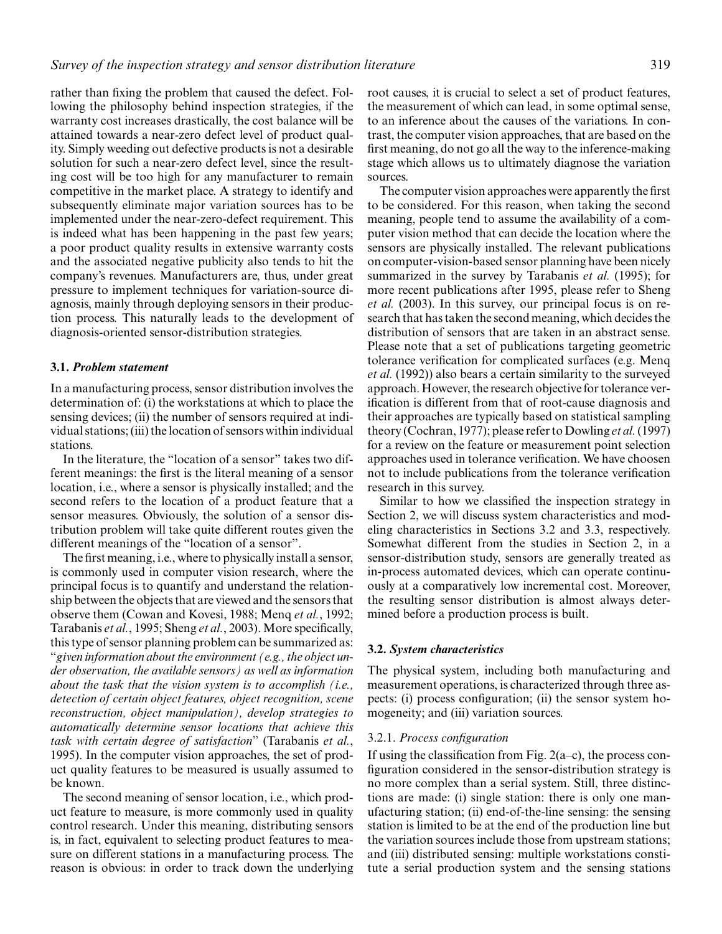rather than fixing the problem that caused the defect. Following the philosophy behind inspection strategies, if the warranty cost increases drastically, the cost balance will be attained towards a near-zero defect level of product quality. Simply weeding out defective products is not a desirable solution for such a near-zero defect level, since the resulting cost will be too high for any manufacturer to remain competitive in the market place. A strategy to identify and subsequently eliminate major variation sources has to be implemented under the near-zero-defect requirement. This is indeed what has been happening in the past few years; a poor product quality results in extensive warranty costs and the associated negative publicity also tends to hit the company's revenues. Manufacturers are, thus, under great pressure to implement techniques for variation-source diagnosis, mainly through deploying sensors in their production process. This naturally leads to the development of diagnosis-oriented sensor-distribution strategies.

#### **3.1.** *Problem statement*

In a manufacturing process, sensor distribution involves the determination of: (i) the workstations at which to place the sensing devices; (ii) the number of sensors required at individual stations; (iii) the location of sensors within individual stations.

In the literature, the "location of a sensor" takes two different meanings: the first is the literal meaning of a sensor location, i.e., where a sensor is physically installed; and the second refers to the location of a product feature that a sensor measures. Obviously, the solution of a sensor distribution problem will take quite different routes given the different meanings of the "location of a sensor".

The first meaning, i.e., where to physically install a sensor, is commonly used in computer vision research, where the principal focus is to quantify and understand the relationship between the objects that are viewed and the sensors that observe them (Cowan and Kovesi, 1988; Menq *et al.*, 1992; Tarabanis *et al.*, 1995; Sheng *et al.*, 2003). More specifically, this type of sensor planning problem can be summarized as: "*given information about the environment (e.g., the object under observation, the available sensors) as well as information about the task that the vision system is to accomplish (i.e., detection of certain object features, object recognition, scene reconstruction, object manipulation), develop strategies to automatically determine sensor locations that achieve this task with certain degree of satisfaction*" (Tarabanis *et al.*, 1995). In the computer vision approaches, the set of product quality features to be measured is usually assumed to be known.

The second meaning of sensor location, i.e., which product feature to measure, is more commonly used in quality control research. Under this meaning, distributing sensors is, in fact, equivalent to selecting product features to measure on different stations in a manufacturing process. The reason is obvious: in order to track down the underlying root causes, it is crucial to select a set of product features, the measurement of which can lead, in some optimal sense, to an inference about the causes of the variations. In contrast, the computer vision approaches, that are based on the first meaning, do not go all the way to the inference-making stage which allows us to ultimately diagnose the variation sources.

The computer vision approaches were apparently the first to be considered. For this reason, when taking the second meaning, people tend to assume the availability of a computer vision method that can decide the location where the sensors are physically installed. The relevant publications on computer-vision-based sensor planning have been nicely summarized in the survey by Tarabanis *et al.* (1995); for more recent publications after 1995, please refer to Sheng *et al.* (2003). In this survey, our principal focus is on research that has taken the second meaning, which decides the distribution of sensors that are taken in an abstract sense. Please note that a set of publications targeting geometric tolerance verification for complicated surfaces (e.g. Menq *et al.* (1992)) also bears a certain similarity to the surveyed approach. However, the research objective for tolerance verification is different from that of root-cause diagnosis and their approaches are typically based on statistical sampling theory (Cochran, 1977); please refer to Dowling *et al.*(1997) for a review on the feature or measurement point selection approaches used in tolerance verification. We have choosen not to include publications from the tolerance verification research in this survey.

Similar to how we classified the inspection strategy in Section 2, we will discuss system characteristics and modeling characteristics in Sections 3.2 and 3.3, respectively. Somewhat different from the studies in Section 2, in a sensor-distribution study, sensors are generally treated as in-process automated devices, which can operate continuously at a comparatively low incremental cost. Moreover, the resulting sensor distribution is almost always determined before a production process is built.

#### **3.2.** *System characteristics*

The physical system, including both manufacturing and measurement operations, is characterized through three aspects: (i) process configuration; (ii) the sensor system homogeneity; and (iii) variation sources.

## 3.2.1. *Process configuration*

If using the classification from Fig.  $2(a-c)$ , the process configuration considered in the sensor-distribution strategy is no more complex than a serial system. Still, three distinctions are made: (i) single station: there is only one manufacturing station; (ii) end-of-the-line sensing: the sensing station is limited to be at the end of the production line but the variation sources include those from upstream stations; and (iii) distributed sensing: multiple workstations constitute a serial production system and the sensing stations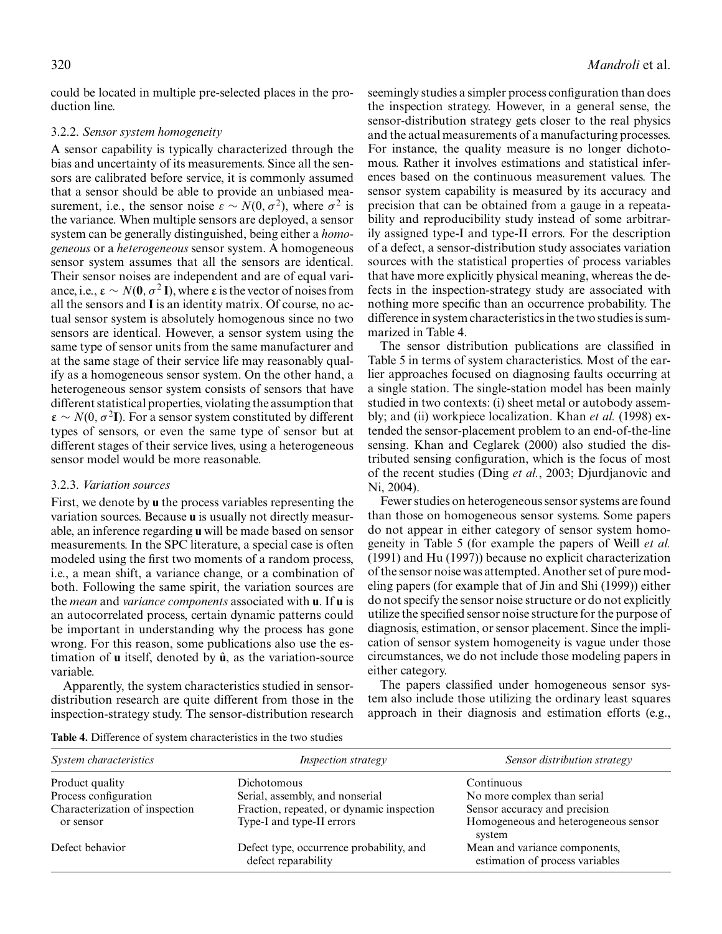could be located in multiple pre-selected places in the production line.

#### 3.2.2. *Sensor system homogeneity*

A sensor capability is typically characterized through the bias and uncertainty of its measurements. Since all the sensors are calibrated before service, it is commonly assumed that a sensor should be able to provide an unbiased measurement, i.e., the sensor noise  $\varepsilon \sim N(0, \sigma^2)$ , where  $\sigma^2$  is the variance. When multiple sensors are deployed, a sensor system can be generally distinguished, being either a *homogeneous* or a *heterogeneous* sensor system. A homogeneous sensor system assumes that all the sensors are identical. Their sensor noises are independent and are of equal variance, i.e.,  $\varepsilon \sim N(0, \sigma^2 I)$ , where  $\varepsilon$  is the vector of noises from all the sensors and **I** is an identity matrix. Of course, no actual sensor system is absolutely homogenous since no two sensors are identical. However, a sensor system using the same type of sensor units from the same manufacturer and at the same stage of their service life may reasonably qualify as a homogeneous sensor system. On the other hand, a heterogeneous sensor system consists of sensors that have different statistical properties, violating the assumption that  $\varepsilon \sim N(0, \sigma^2 I)$ . For a sensor system constituted by different types of sensors, or even the same type of sensor but at different stages of their service lives, using a heterogeneous sensor model would be more reasonable.

#### 3.2.3. *Variation sources*

First, we denote by **u** the process variables representing the variation sources. Because **u** is usually not directly measurable, an inference regarding **u** will be made based on sensor measurements. In the SPC literature, a special case is often modeled using the first two moments of a random process, i.e., a mean shift, a variance change, or a combination of both. Following the same spirit, the variation sources are the *mean* and *variance components* associated with **u**. If **u** is an autocorrelated process, certain dynamic patterns could be important in understanding why the process has gone wrong. For this reason, some publications also use the estimation of **u** itself, denoted by  $\hat{u}$ , as the variation-source variable.

Apparently, the system characteristics studied in sensordistribution research are quite different from those in the inspection-strategy study. The sensor-distribution research seemingly studies a simpler process configuration than does the inspection strategy. However, in a general sense, the sensor-distribution strategy gets closer to the real physics and the actual measurements of a manufacturing processes. For instance, the quality measure is no longer dichotomous. Rather it involves estimations and statistical inferences based on the continuous measurement values. The sensor system capability is measured by its accuracy and precision that can be obtained from a gauge in a repeatability and reproducibility study instead of some arbitrarily assigned type-I and type-II errors. For the description of a defect, a sensor-distribution study associates variation sources with the statistical properties of process variables that have more explicitly physical meaning, whereas the defects in the inspection-strategy study are associated with nothing more specific than an occurrence probability. The difference in system characteristics in the two studies is summarized in Table 4.

The sensor distribution publications are classified in Table 5 in terms of system characteristics. Most of the earlier approaches focused on diagnosing faults occurring at a single station. The single-station model has been mainly studied in two contexts: (i) sheet metal or autobody assembly; and (ii) workpiece localization. Khan *et al.* (1998) extended the sensor-placement problem to an end-of-the-line sensing. Khan and Ceglarek (2000) also studied the distributed sensing configuration, which is the focus of most of the recent studies (Ding *et al.*, 2003; Djurdjanovic and Ni, 2004).

Fewer studies on heterogeneous sensor systems are found than those on homogeneous sensor systems. Some papers do not appear in either category of sensor system homogeneity in Table 5 (for example the papers of Weill *et al.* (1991) and Hu (1997)) because no explicit characterization of the sensor noise was attempted. Another set of pure modeling papers (for example that of Jin and Shi (1999)) either do not specify the sensor noise structure or do not explicitly utilize the specified sensor noise structure for the purpose of diagnosis, estimation, or sensor placement. Since the implication of sensor system homogeneity is vague under those circumstances, we do not include those modeling papers in either category.

The papers classified under homogeneous sensor system also include those utilizing the ordinary least squares approach in their diagnosis and estimation efforts (e.g.,

**Table 4.** Difference of system characteristics in the two studies

| System characteristics         | <i>Inspection strategy</i>                                      | Sensor distribution strategy                                     |
|--------------------------------|-----------------------------------------------------------------|------------------------------------------------------------------|
| Product quality                | Dichotomous                                                     | <b>Continuous</b>                                                |
| Process configuration          | Serial, assembly, and nonserial                                 | No more complex than serial                                      |
| Characterization of inspection | Fraction, repeated, or dynamic inspection                       | Sensor accuracy and precision                                    |
| or sensor                      | Type-I and type-II errors                                       | Homogeneous and heterogeneous sensor<br>system                   |
| Defect behavior                | Defect type, occurrence probability, and<br>defect reparability | Mean and variance components,<br>estimation of process variables |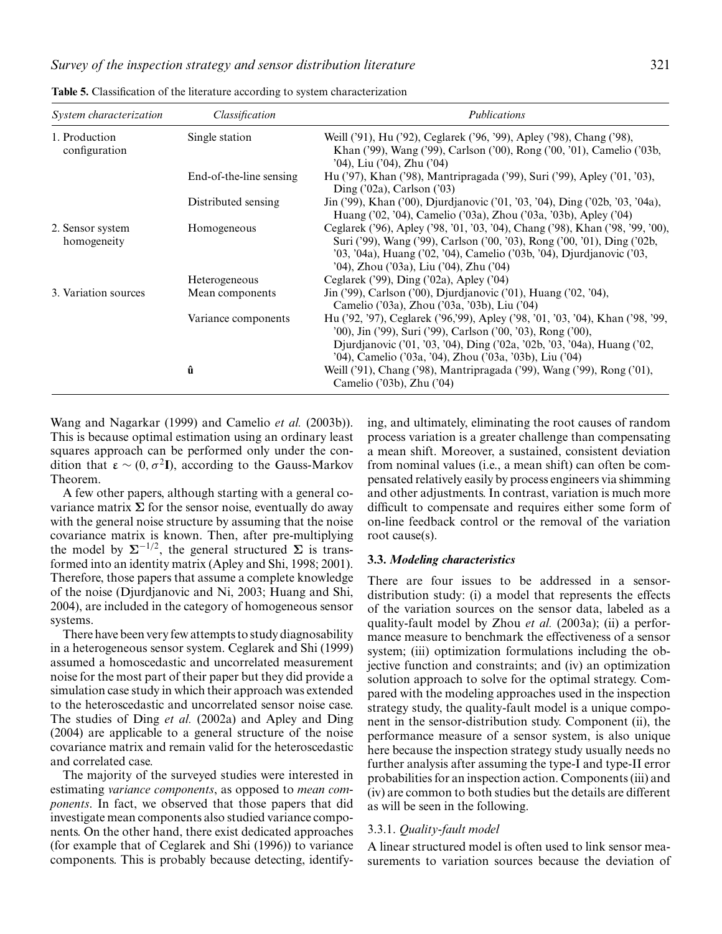| System characterization         | Classification          | Publications                                                                                                                                                                                                                                                                         |
|---------------------------------|-------------------------|--------------------------------------------------------------------------------------------------------------------------------------------------------------------------------------------------------------------------------------------------------------------------------------|
| 1. Production<br>configuration  | Single station          | Weill ('91), Hu ('92), Ceglarek ('96, '99), Apley ('98), Chang ('98),<br>Khan ('99), Wang ('99), Carlson ('00), Rong ('00, '01), Camelio ('03b,<br>'04), Liu ('04), Zhu ('04)                                                                                                        |
|                                 | End-of-the-line sensing | Hu ('97), Khan ('98), Mantripragada ('99), Suri ('99), Apley ('01, '03),<br>Ding $(22a)$ , Carlson $(23)$                                                                                                                                                                            |
|                                 | Distributed sensing     | Jin ('99), Khan ('00), Djurdjanovic ('01, '03, '04), Ding ('02b, '03, '04a),<br>Huang ('02, '04), Camelio ('03a), Zhou ('03a, '03b), Apley ('04)                                                                                                                                     |
| 2. Sensor system<br>homogeneity | Homogeneous             | Ceglarek ('96), Apley ('98, '01, '03, '04), Chang ('98), Khan ('98, '99, '00),<br>Suri ('99), Wang ('99), Carlson ('00, '03), Rong ('00, '01), Ding ('02b,<br>'03, '04a), Huang ('02, '04), Camelio ('03b, '04), Djurdjanovic ('03,<br>'04), Zhou ('03a), Liu ('04), Zhu ('04)       |
|                                 | Heterogeneous           | Ceglarek ('99), Ding ('02a), Apley ('04)                                                                                                                                                                                                                                             |
| 3. Variation sources            | Mean components         | Jin ('99), Carlson ('00), Djurdjanovic ('01), Huang ('02, '04),<br>Camelio ('03a), Zhou ('03a, '03b), Liu ('04)                                                                                                                                                                      |
|                                 | Variance components     | Hu ('92, '97), Ceglarek ('96,'99), Apley ('98, '01, '03, '04), Khan ('98, '99,<br>'00), Jin ('99), Suri ('99), Carlson ('00, '03), Rong ('00),<br>Djurdjanovic ('01, '03, '04), Ding ('02a, '02b, '03, '04a), Huang ('02,<br>'04), Camelio ('03a, '04), Zhou ('03a, '03b), Liu ('04) |
|                                 | û                       | Weill ('91), Chang ('98), Mantripragada ('99), Wang ('99), Rong ('01),<br>Camelio ('03b), Zhu ('04)                                                                                                                                                                                  |

**Table 5.** Classification of the literature according to system characterization

Wang and Nagarkar (1999) and Camelio *et al.* (2003b)). This is because optimal estimation using an ordinary least squares approach can be performed only under the condition that  $\epsilon \sim (0, \sigma^2 I)$ , according to the Gauss-Markov Theorem.

A few other papers, although starting with a general covariance matrix  $\Sigma$  for the sensor noise, eventually do away with the general noise structure by assuming that the noise covariance matrix is known. Then, after pre-multiplying the model by  $\Sigma^{-1/2}$ , the general structured  $\Sigma$  is transformed into an identity matrix (Apley and Shi, 1998; 2001). Therefore, those papers that assume a complete knowledge of the noise (Djurdjanovic and Ni, 2003; Huang and Shi, 2004), are included in the category of homogeneous sensor systems.

There have been very few attempts to study diagnosability in a heterogeneous sensor system. Ceglarek and Shi (1999) assumed a homoscedastic and uncorrelated measurement noise for the most part of their paper but they did provide a simulation case study in which their approach was extended to the heteroscedastic and uncorrelated sensor noise case. The studies of Ding *et al.* (2002a) and Apley and Ding (2004) are applicable to a general structure of the noise covariance matrix and remain valid for the heteroscedastic and correlated case.

The majority of the surveyed studies were interested in estimating *variance components*, as opposed to *mean components*. In fact, we observed that those papers that did investigate mean components also studied variance components. On the other hand, there exist dedicated approaches (for example that of Ceglarek and Shi (1996)) to variance components. This is probably because detecting, identifying, and ultimately, eliminating the root causes of random process variation is a greater challenge than compensating a mean shift. Moreover, a sustained, consistent deviation from nominal values (i.e., a mean shift) can often be compensated relatively easily by process engineers via shimming and other adjustments. In contrast, variation is much more difficult to compensate and requires either some form of on-line feedback control or the removal of the variation root cause(s).

#### **3.3.** *Modeling characteristics*

There are four issues to be addressed in a sensordistribution study: (i) a model that represents the effects of the variation sources on the sensor data, labeled as a quality-fault model by Zhou *et al.* (2003a); (ii) a performance measure to benchmark the effectiveness of a sensor system; (iii) optimization formulations including the objective function and constraints; and (iv) an optimization solution approach to solve for the optimal strategy. Compared with the modeling approaches used in the inspection strategy study, the quality-fault model is a unique component in the sensor-distribution study. Component (ii), the performance measure of a sensor system, is also unique here because the inspection strategy study usually needs no further analysis after assuming the type-I and type-II error probabilities for an inspection action. Components (iii) and (iv) are common to both studies but the details are different as will be seen in the following.

## 3.3.1. *Quality-fault model*

A linear structured model is often used to link sensor measurements to variation sources because the deviation of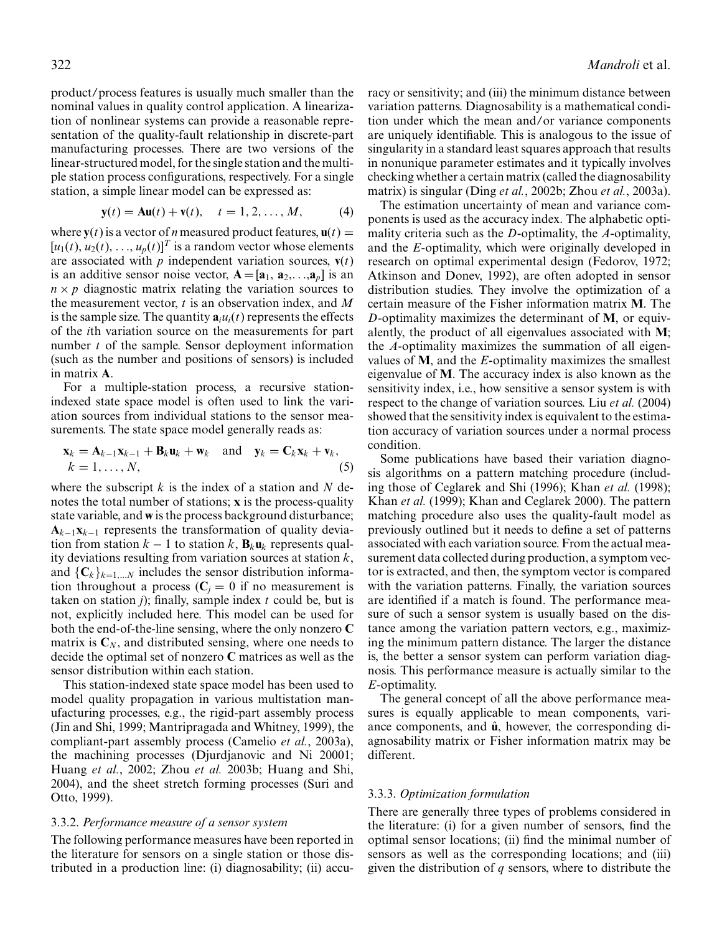product/process features is usually much smaller than the nominal values in quality control application. A linearization of nonlinear systems can provide a reasonable representation of the quality-fault relationship in discrete-part manufacturing processes. There are two versions of the linear-structured model, for the single station and the multiple station process configurations, respectively. For a single station, a simple linear model can be expressed as:

$$
y(t) = Au(t) + v(t), \quad t = 1, 2, ..., M,
$$
 (4)

where  $y(t)$  is a vector of *n* measured product features,  $u(t) =$  $[u_1(t), u_2(t), \ldots, u_n(t)]^T$  is a random vector whose elements are associated with  $p$  independent variation sources,  $\mathbf{v}(t)$ is an additive sensor noise vector,  $A = [a_1, a_2,...,a_n]$  is an  $n \times p$  diagnostic matrix relating the variation sources to the measurement vector, *t* is an observation index, and *M* is the sample size. The quantity  $\mathbf{a}_i u_i(t)$  represents the effects of the *i*th variation source on the measurements for part number *t* of the sample. Sensor deployment information (such as the number and positions of sensors) is included in matrix **A**.

For a multiple-station process, a recursive stationindexed state space model is often used to link the variation sources from individual stations to the sensor measurements. The state space model generally reads as:

$$
\mathbf{x}_{k} = \mathbf{A}_{k-1}\mathbf{x}_{k-1} + \mathbf{B}_{k}\mathbf{u}_{k} + \mathbf{w}_{k} \text{ and } \mathbf{y}_{k} = \mathbf{C}_{k}\mathbf{x}_{k} + \mathbf{v}_{k},
$$
  
\n $k = 1, ..., N,$  (5)

where the subscript *k* is the index of a station and *N* denotes the total number of stations; **x** is the process-quality state variable, and **w** is the process background disturbance;  $A_{k-1}X_{k-1}$  represents the transformation of quality deviation from station  $k - 1$  to station  $k$ ,  $\mathbf{B}_k \mathbf{u}_k$  represents quality deviations resulting from variation sources at station *k*, and  $\{C_k\}_{k=1,\dots,N}$  includes the sensor distribution information throughout a process ( $C_j = 0$  if no measurement is taken on station *j*); finally, sample index *t* could be, but is not, explicitly included here. This model can be used for both the end-of-the-line sensing, where the only nonzero **C** matrix is  $C_N$ , and distributed sensing, where one needs to decide the optimal set of nonzero **C** matrices as well as the sensor distribution within each station.

This station-indexed state space model has been used to model quality propagation in various multistation manufacturing processes, e.g., the rigid-part assembly process (Jin and Shi, 1999; Mantripragada and Whitney, 1999), the compliant-part assembly process (Camelio *et al.*, 2003a), the machining processes (Djurdjanovic and Ni 20001; Huang *et al.*, 2002; Zhou *et al.* 2003b; Huang and Shi, 2004), and the sheet stretch forming processes (Suri and Otto, 1999).

#### 3.3.2. *Performance measure of a sensor system*

The following performance measures have been reported in the literature for sensors on a single station or those distributed in a production line: (i) diagnosability; (ii) accuracy or sensitivity; and (iii) the minimum distance between variation patterns. Diagnosability is a mathematical condition under which the mean and/or variance components are uniquely identifiable. This is analogous to the issue of singularity in a standard least squares approach that results in nonunique parameter estimates and it typically involves checking whether a certain matrix (called the diagnosability matrix) is singular (Ding *et al.*, 2002b; Zhou *et al.*, 2003a).

The estimation uncertainty of mean and variance components is used as the accuracy index. The alphabetic optimality criteria such as the *D*-optimality, the *A*-optimality, and the *E*-optimality, which were originally developed in research on optimal experimental design (Fedorov, 1972; Atkinson and Donev, 1992), are often adopted in sensor distribution studies. They involve the optimization of a certain measure of the Fisher information matrix **M**. The *D*-optimality maximizes the determinant of **M**, or equivalently, the product of all eigenvalues associated with **M**; the *A*-optimality maximizes the summation of all eigenvalues of **M**, and the *E*-optimality maximizes the smallest eigenvalue of **M**. The accuracy index is also known as the sensitivity index, i.e., how sensitive a sensor system is with respect to the change of variation sources. Liu *et al.* (2004) showed that the sensitivity index is equivalent to the estimation accuracy of variation sources under a normal process condition.

Some publications have based their variation diagnosis algorithms on a pattern matching procedure (including those of Ceglarek and Shi (1996); Khan *et al.* (1998); Khan *et al.* (1999); Khan and Ceglarek 2000). The pattern matching procedure also uses the quality-fault model as previously outlined but it needs to define a set of patterns associated with each variation source. From the actual measurement data collected during production, a symptom vector is extracted, and then, the symptom vector is compared with the variation patterns. Finally, the variation sources are identified if a match is found. The performance measure of such a sensor system is usually based on the distance among the variation pattern vectors, e.g., maximizing the minimum pattern distance. The larger the distance is, the better a sensor system can perform variation diagnosis. This performance measure is actually similar to the *E*-optimality.

The general concept of all the above performance measures is equally applicable to mean components, variance components, and  $\hat{u}$ , however, the corresponding diagnosability matrix or Fisher information matrix may be different.

#### 3.3.3. *Optimization formulation*

There are generally three types of problems considered in the literature: (i) for a given number of sensors, find the optimal sensor locations; (ii) find the minimal number of sensors as well as the corresponding locations; and (iii) given the distribution of *q* sensors, where to distribute the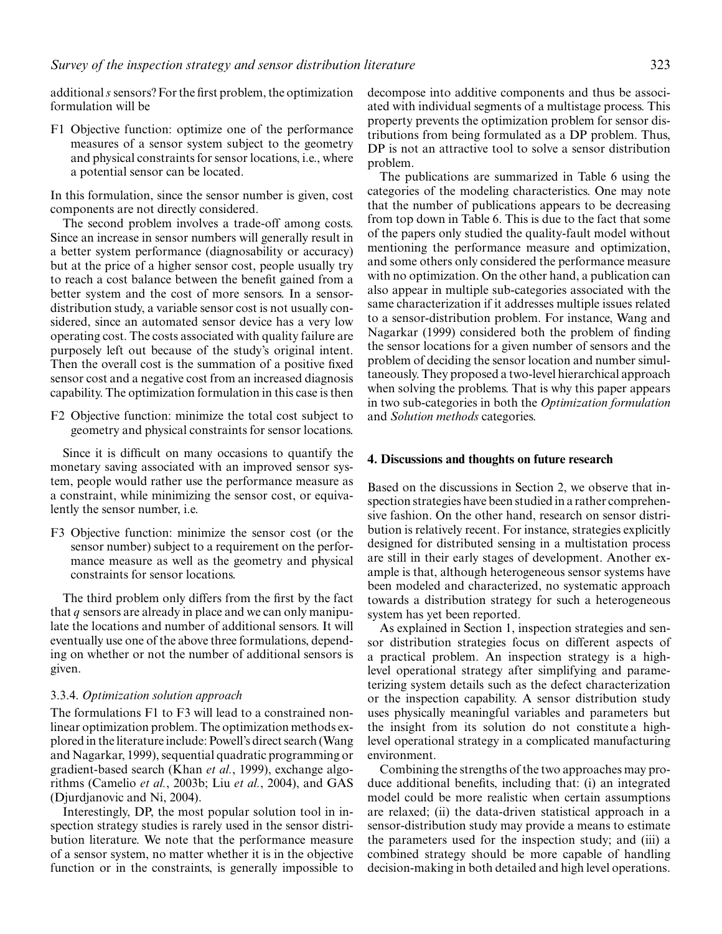additional*s* sensors? For the first problem, the optimization formulation will be

F1 Objective function: optimize one of the performance measures of a sensor system subject to the geometry and physical constraints for sensor locations, i.e., where a potential sensor can be located.

In this formulation, since the sensor number is given, cost components are not directly considered.

The second problem involves a trade-off among costs. Since an increase in sensor numbers will generally result in a better system performance (diagnosability or accuracy) but at the price of a higher sensor cost, people usually try to reach a cost balance between the benefit gained from a better system and the cost of more sensors. In a sensordistribution study, a variable sensor cost is not usually considered, since an automated sensor device has a very low operating cost. The costs associated with quality failure are purposely left out because of the study's original intent. Then the overall cost is the summation of a positive fixed sensor cost and a negative cost from an increased diagnosis capability. The optimization formulation in this case is then

F2 Objective function: minimize the total cost subject to geometry and physical constraints for sensor locations.

Since it is difficult on many occasions to quantify the monetary saving associated with an improved sensor system, people would rather use the performance measure as a constraint, while minimizing the sensor cost, or equivalently the sensor number, i.e.

F3 Objective function: minimize the sensor cost (or the sensor number) subject to a requirement on the performance measure as well as the geometry and physical constraints for sensor locations.

The third problem only differs from the first by the fact that *q* sensors are already in place and we can only manipulate the locations and number of additional sensors. It will eventually use one of the above three formulations, depending on whether or not the number of additional sensors is given.

#### 3.3.4. *Optimization solution approach*

The formulations F1 to F3 will lead to a constrained nonlinear optimization problem. The optimization methods explored in the literature include: Powell's direct search (Wang and Nagarkar, 1999), sequential quadratic programming or gradient-based search (Khan *et al.*, 1999), exchange algorithms (Camelio *et al.*, 2003b; Liu *et al.*, 2004), and GAS (Djurdjanovic and Ni, 2004).

Interestingly, DP, the most popular solution tool in inspection strategy studies is rarely used in the sensor distribution literature. We note that the performance measure of a sensor system, no matter whether it is in the objective function or in the constraints, is generally impossible to

decompose into additive components and thus be associated with individual segments of a multistage process. This property prevents the optimization problem for sensor distributions from being formulated as a DP problem. Thus, DP is not an attractive tool to solve a sensor distribution problem.

The publications are summarized in Table 6 using the categories of the modeling characteristics. One may note that the number of publications appears to be decreasing from top down in Table 6. This is due to the fact that some of the papers only studied the quality-fault model without mentioning the performance measure and optimization, and some others only considered the performance measure with no optimization. On the other hand, a publication can also appear in multiple sub-categories associated with the same characterization if it addresses multiple issues related to a sensor-distribution problem. For instance, Wang and Nagarkar (1999) considered both the problem of finding the sensor locations for a given number of sensors and the problem of deciding the sensor location and number simultaneously. They proposed a two-level hierarchical approach when solving the problems. That is why this paper appears in two sub-categories in both the *Optimization formulation* and *Solution methods* categories.

## **4. Discussions and thoughts on future research**

Based on the discussions in Section 2, we observe that inspection strategies have been studied in a rather comprehensive fashion. On the other hand, research on sensor distribution is relatively recent. For instance, strategies explicitly designed for distributed sensing in a multistation process are still in their early stages of development. Another example is that, although heterogeneous sensor systems have been modeled and characterized, no systematic approach towards a distribution strategy for such a heterogeneous system has yet been reported.

As explained in Section 1, inspection strategies and sensor distribution strategies focus on different aspects of a practical problem. An inspection strategy is a highlevel operational strategy after simplifying and parameterizing system details such as the defect characterization or the inspection capability. A sensor distribution study uses physically meaningful variables and parameters but the insight from its solution do not constitute a highlevel operational strategy in a complicated manufacturing environment.

Combining the strengths of the two approaches may produce additional benefits, including that: (i) an integrated model could be more realistic when certain assumptions are relaxed; (ii) the data-driven statistical approach in a sensor-distribution study may provide a means to estimate the parameters used for the inspection study; and (iii) a combined strategy should be more capable of handling decision-making in both detailed and high level operations.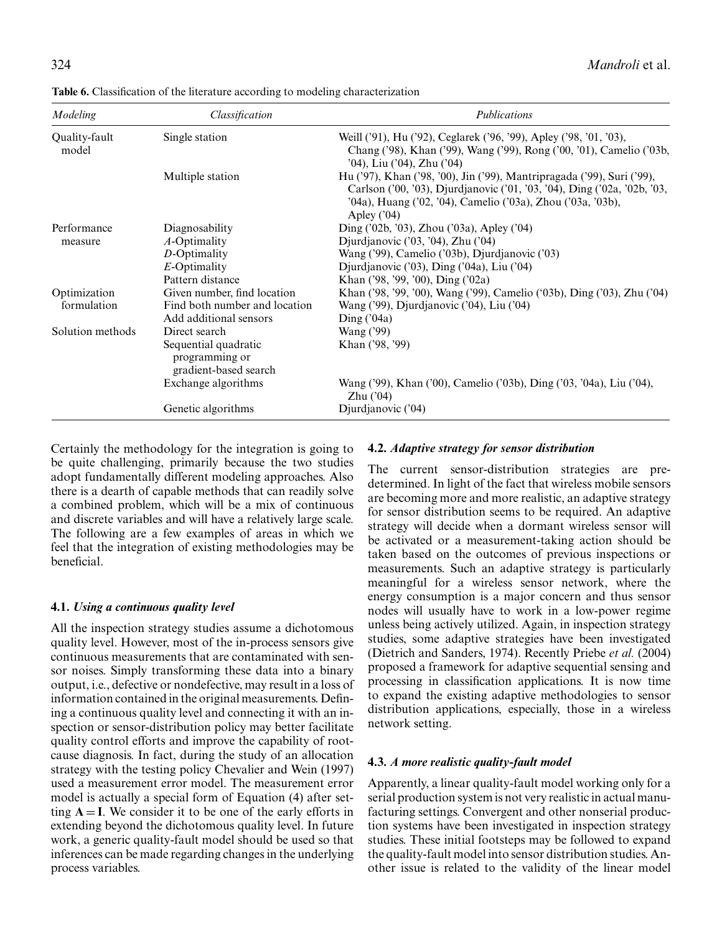| Modeling               | Classification                         | Publications                                                                                                                                                                                                                       |
|------------------------|----------------------------------------|------------------------------------------------------------------------------------------------------------------------------------------------------------------------------------------------------------------------------------|
| Quality-fault<br>model | Single station                         | Weill ('91), Hu ('92), Ceglarek ('96, '99), Apley ('98, '01, '03),<br>Chang ('98), Khan ('99), Wang ('99), Rong ('00, '01), Camelio ('03b,<br>'04), Liu ('04), Zhu ('04)                                                           |
|                        | Multiple station                       | Hu ('97), Khan ('98, '00), Jin ('99), Mantripragada ('99), Suri ('99),<br>Carlson ('00, '03), Djurdjanovic ('01, '03, '04), Ding ('02a, '02b, '03,<br>'04a), Huang ('02, '04), Camelio ('03a), Zhou ('03a, '03b),<br>Apley $('04)$ |
| Performance            | Diagnosability                         | Ding ('02b, '03), Zhou ('03a), Apley ('04)                                                                                                                                                                                         |
| measure                | A-Optimality                           | Djurdjanovic $(03, 04)$ , Zhu $(04)$                                                                                                                                                                                               |
|                        | D-Optimality                           | Wang ('99), Camelio ('03b), Djurdjanovic ('03)                                                                                                                                                                                     |
|                        | $E$ -Optimality                        | Djurdjanovic ('03), Ding ('04a), Liu ('04)                                                                                                                                                                                         |
|                        | Pattern distance                       | Khan ('98, '99, '00), Ding ('02a)                                                                                                                                                                                                  |
| Optimization           | Given number, find location            | Khan ('98, '99, '00), Wang ('99), Camelio ('03b), Ding ('03), Zhu ('04)                                                                                                                                                            |
| formulation            | Find both number and location          | Wang ('99), Djurdjanovic ('04), Liu ('04)                                                                                                                                                                                          |
|                        | Add additional sensors                 | Ding $('04a)$                                                                                                                                                                                                                      |
| Solution methods       | Direct search                          | Wang ('99)                                                                                                                                                                                                                         |
|                        | Sequential quadratic<br>programming or | Khan ('98, '99)                                                                                                                                                                                                                    |
|                        | gradient-based search                  |                                                                                                                                                                                                                                    |
|                        | Exchange algorithms                    | Wang ('99), Khan ('00), Camelio ('03b), Ding ('03, '04a), Liu ('04),<br>Zhu $('04)$                                                                                                                                                |
|                        | Genetic algorithms                     | Djurdjanovic ('04)                                                                                                                                                                                                                 |

**Table 6.** Classification of the literature according to modeling characterization

Certainly the methodology for the integration is going to be quite challenging, primarily because the two studies adopt fundamentally different modeling approaches. Also there is a dearth of capable methods that can readily solve a combined problem, which will be a mix of continuous and discrete variables and will have a relatively large scale. The following are a few examples of areas in which we feel that the integration of existing methodologies may be beneficial.

## **4.1.** *Using a continuous quality level*

All the inspection strategy studies assume a dichotomous quality level. However, most of the in-process sensors give continuous measurements that are contaminated with sensor noises. Simply transforming these data into a binary output, i.e., defective or nondefective, may result in a loss of information contained in the original measurements. Defining a continuous quality level and connecting it with an inspection or sensor-distribution policy may better facilitate quality control efforts and improve the capability of rootcause diagnosis. In fact, during the study of an allocation strategy with the testing policy Chevalier and Wein (1997) used a measurement error model. The measurement error model is actually a special form of Equation (4) after setting  $A = I$ . We consider it to be one of the early efforts in extending beyond the dichotomous quality level. In future work, a generic quality-fault model should be used so that inferences can be made regarding changes in the underlying process variables.

## **4.2.** *Adaptive strategy for sensor distribution*

The current sensor-distribution strategies are predetermined. In light of the fact that wireless mobile sensors are becoming more and more realistic, an adaptive strategy for sensor distribution seems to be required. An adaptive strategy will decide when a dormant wireless sensor will be activated or a measurement-taking action should be taken based on the outcomes of previous inspections or measurements. Such an adaptive strategy is particularly meaningful for a wireless sensor network, where the energy consumption is a major concern and thus sensor nodes will usually have to work in a low-power regime unless being actively utilized. Again, in inspection strategy studies, some adaptive strategies have been investigated (Dietrich and Sanders, 1974). Recently Priebe *et al.* (2004) proposed a framework for adaptive sequential sensing and processing in classification applications. It is now time to expand the existing adaptive methodologies to sensor distribution applications, especially, those in a wireless network setting.

## **4.3.** *A more realistic quality-fault model*

Apparently, a linear quality-fault model working only for a serial production system is not very realistic in actual manufacturing settings. Convergent and other nonserial production systems have been investigated in inspection strategy studies. These initial footsteps may be followed to expand the quality-fault model into sensor distribution studies. Another issue is related to the validity of the linear model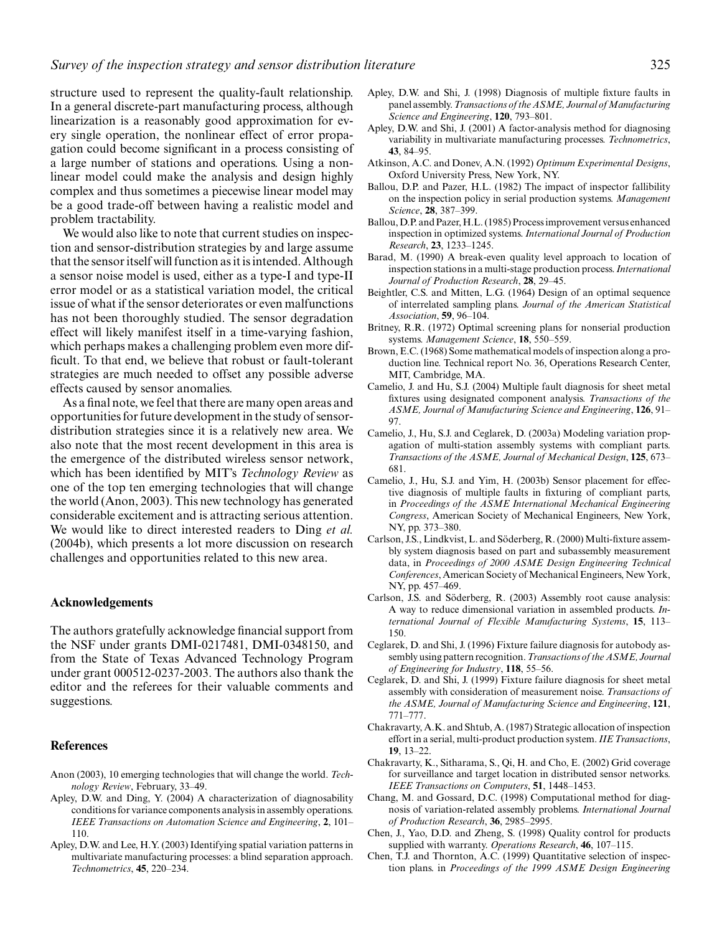structure used to represent the quality-fault relationship. In a general discrete-part manufacturing process, although linearization is a reasonably good approximation for every single operation, the nonlinear effect of error propagation could become significant in a process consisting of a large number of stations and operations. Using a nonlinear model could make the analysis and design highly complex and thus sometimes a piecewise linear model may be a good trade-off between having a realistic model and problem tractability.

We would also like to note that current studies on inspection and sensor-distribution strategies by and large assume that the sensor itself will function as it is intended. Although a sensor noise model is used, either as a type-I and type-II error model or as a statistical variation model, the critical issue of what if the sensor deteriorates or even malfunctions has not been thoroughly studied. The sensor degradation effect will likely manifest itself in a time-varying fashion, which perhaps makes a challenging problem even more difficult. To that end, we believe that robust or fault-tolerant strategies are much needed to offset any possible adverse effects caused by sensor anomalies.

As a final note, we feel that there are many open areas and opportunities for future development in the study of sensordistribution strategies since it is a relatively new area. We also note that the most recent development in this area is the emergence of the distributed wireless sensor network, which has been identified by MIT's *Technology Review* as one of the top ten emerging technologies that will change the world (Anon, 2003). This new technology has generated considerable excitement and is attracting serious attention. We would like to direct interested readers to Ding *et al.* (2004b), which presents a lot more discussion on research challenges and opportunities related to this new area.

## **Acknowledgements**

The authors gratefully acknowledge financial support from the NSF under grants DMI-0217481, DMI-0348150, and from the State of Texas Advanced Technology Program under grant 000512-0237-2003. The authors also thank the editor and the referees for their valuable comments and suggestions.

#### **References**

- Anon (2003), 10 emerging technologies that will change the world. *Technology Review*, February, 33–49.
- Apley, D.W. and Ding, Y. (2004) A characterization of diagnosability conditions for variance components analysis in assembly operations. *IEEE Transactions on Automation Science and Engineering*, **2**, 101– 110.
- Apley, D.W. and Lee, H.Y. (2003) Identifying spatial variation patterns in multivariate manufacturing processes: a blind separation approach. *Technometrics*, **45**, 220–234.
- Apley, D.W. and Shi, J. (1998) Diagnosis of multiple fixture faults in panel assembly.*Transactions of the ASME, Journal of Manufacturing Science and Engineering*, **120**, 793–801.
- Apley, D.W. and Shi, J. (2001) A factor-analysis method for diagnosing variability in multivariate manufacturing processes. *Technometrics*, **43**, 84–95.
- Atkinson, A.C. and Donev, A.N. (1992) *Optimum Experimental Designs*, Oxford University Press, New York, NY.
- Ballou, D.P. and Pazer, H.L. (1982) The impact of inspector fallibility on the inspection policy in serial production systems. *Management Science*, **28**, 387–399.
- Ballou, D.P. and Pazer, H.L. (1985) Process improvement versus enhanced inspection in optimized systems. *International Journal of Production Research*, **23**, 1233–1245.
- Barad, M. (1990) A break-even quality level approach to location of inspection stations in a multi-stage production process.*International Journal of Production Research*, **28**, 29–45.
- Beightler, C.S. and Mitten, L.G. (1964) Design of an optimal sequence of interrelated sampling plans. *Journal of the American Statistical Association*, **59**, 96–104.
- Britney, R.R. (1972) Optimal screening plans for nonserial production systems. *Management Science*, **18**, 550–559.
- Brown, E.C. (1968) Some mathematical models of inspection along a production line. Technical report No. 36, Operations Research Center, MIT, Cambridge, MA.
- Camelio, J. and Hu, S.J. (2004) Multiple fault diagnosis for sheet metal fixtures using designated component analysis. *Transactions of the ASME, Journal of Manufacturing Science and Engineering*, **126**, 91– 97.
- Camelio, J., Hu, S.J. and Ceglarek, D. (2003a) Modeling variation propagation of multi-station assembly systems with compliant parts. *Transactions of the ASME, Journal of Mechanical Design*, **125**, 673– 681.
- Camelio, J., Hu, S.J. and Yim, H. (2003b) Sensor placement for effective diagnosis of multiple faults in fixturing of compliant parts, in *Proceedings of the ASME International Mechanical Engineering Congress*, American Society of Mechanical Engineers, New York, NY, pp. 373–380.
- Carlson, J.S., Lindkvist, L. and Söderberg, R. (2000) Multi-fixture assembly system diagnosis based on part and subassembly measurement data, in *Proceedings of 2000 ASME Design Engineering Technical Conferences*, American Society of Mechanical Engineers, New York, NY, pp. 457–469.
- Carlson, J.S. and Söderberg, R. (2003) Assembly root cause analysis: A way to reduce dimensional variation in assembled products. *International Journal of Flexible Manufacturing Systems*, **15**, 113– 150.
- Ceglarek, D. and Shi, J. (1996) Fixture failure diagnosis for autobody assembly using pattern recognition.*Transactions of the ASME, Journal of Engineering for Industry*, **118**, 55–56.
- Ceglarek, D. and Shi, J. (1999) Fixture failure diagnosis for sheet metal assembly with consideration of measurement noise. *Transactions of the ASME, Journal of Manufacturing Science and Engineering*, **121**, 771–777.
- Chakravarty, A.K. and Shtub, A. (1987) Strategic allocation of inspection effort in a serial, multi-product production system.*IIE Transactions*, **19**, 13–22.
- Chakravarty, K., Sitharama, S., Qi, H. and Cho, E. (2002) Grid coverage for surveillance and target location in distributed sensor networks. *IEEE Transactions on Computers*, **51**, 1448–1453.
- Chang, M. and Gossard, D.C. (1998) Computational method for diagnosis of variation-related assembly problems. *International Journal of Production Research*, **36**, 2985–2995.
- Chen, J., Yao, D.D. and Zheng, S. (1998) Quality control for products supplied with warranty. *Operations Research*, **46**, 107–115.
- Chen, T.J. and Thornton, A.C. (1999) Quantitative selection of inspection plans. in *Proceedings of the 1999 ASME Design Engineering*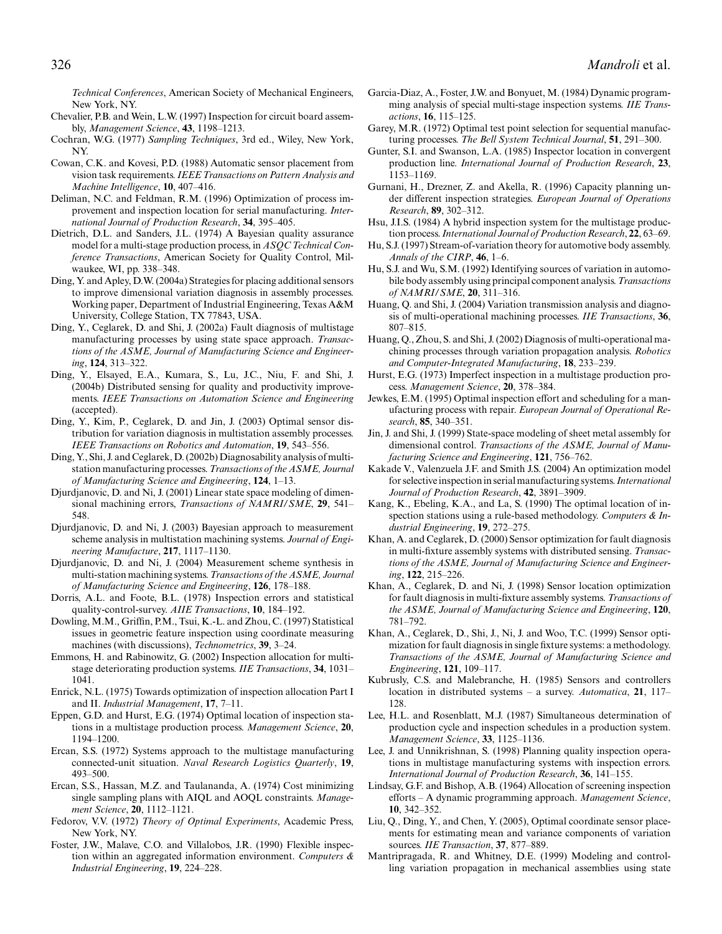*Technical Conferences*, American Society of Mechanical Engineers, New York, NY.

- Chevalier, P.B. and Wein, L.W. (1997) Inspection for circuit board assembly, *Management Science*, **43**, 1198–1213.
- Cochran, W.G. (1977) *Sampling Techniques*, 3rd ed., Wiley, New York, NY.
- Cowan, C.K. and Kovesi, P.D. (1988) Automatic sensor placement from vision task requirements.*IEEE Transactions on Pattern Analysis and Machine Intelligence*, **10**, 407–416.
- Deliman, N.C. and Feldman, R.M. (1996) Optimization of process improvement and inspection location for serial manufacturing. *International Journal of Production Research*, **34**, 395–405.
- Dietrich, D.L. and Sanders, J.L. (1974) A Bayesian quality assurance model for a multi-stage production process, in *ASQC Technical Conference Transactions*, American Society for Quality Control, Milwaukee, WI, pp. 338–348.
- Ding, Y. and Apley, D.W. (2004a) Strategies for placing additional sensors to improve dimensional variation diagnosis in assembly processes. Working paper, Department of Industrial Engineering, Texas A&M University, College Station, TX 77843, USA.
- Ding, Y., Ceglarek, D. and Shi, J. (2002a) Fault diagnosis of multistage manufacturing processes by using state space approach. *Transactions of the ASME, Journal of Manufacturing Science and Engineering*, **124**, 313–322.
- Ding, Y., Elsayed, E.A., Kumara, S., Lu, J.C., Niu, F. and Shi, J. (2004b) Distributed sensing for quality and productivity improvements. *IEEE Transactions on Automation Science and Engineering* (accepted).
- Ding, Y., Kim, P., Ceglarek, D. and Jin, J. (2003) Optimal sensor distribution for variation diagnosis in multistation assembly processes. *IEEE Transactions on Robotics and Automation*, **19**, 543–556.
- Ding, Y., Shi, J. and Ceglarek, D. (2002b) Diagnosability analysis of multistation manufacturing processes. *Transactions of the ASME, Journal of Manufacturing Science and Engineering*, **124**, 1–13.
- Djurdjanovic, D. and Ni, J. (2001) Linear state space modeling of dimensional machining errors, *Transactions of NAMRI/SME*, **29**, 541– 548.
- Djurdjanovic, D. and Ni, J. (2003) Bayesian approach to measurement scheme analysis in multistation machining systems. *Journal of Engineering Manufacture*, **217**, 1117–1130.
- Djurdjanovic, D. and Ni, J. (2004) Measurement scheme synthesis in multi-station machining systems.*Transactions of the ASME, Journal of Manufacturing Science and Engineering*, **126**, 178–188.
- Dorris, A.L. and Foote, B.L. (1978) Inspection errors and statistical quality-control-survey. *AIIE Transactions*, **10**, 184–192.
- Dowling, M.M., Griffin, P.M., Tsui, K.-L. and Zhou, C. (1997) Statistical issues in geometric feature inspection using coordinate measuring machines (with discussions), *Technometrics*, **39**, 3–24.
- Emmons, H. and Rabinowitz, G. (2002) Inspection allocation for multistage deteriorating production systems. *IIE Transactions*, **34**, 1031– 1041.
- Enrick, N.L. (1975) Towards optimization of inspection allocation Part I and II. *Industrial Management*, **17**, 7–11.
- Eppen, G.D. and Hurst, E.G. (1974) Optimal location of inspection stations in a multistage production process. *Management Science*, **20**, 1194–1200.
- Ercan, S.S. (1972) Systems approach to the multistage manufacturing connected-unit situation. *Naval Research Logistics Quarterly*, **19**, 493–500.
- Ercan, S.S., Hassan, M.Z. and Taulananda, A. (1974) Cost minimizing single sampling plans with AIQL and AOQL constraints. *Management Science*, **20**, 1112–1121.
- Fedorov, V.V. (1972) *Theory of Optimal Experiments*, Academic Press, New York, NY.
- Foster, J.W., Malave, C.O. and Villalobos, J.R. (1990) Flexible inspection within an aggregated information environment. *Computers & Industrial Engineering*, **19**, 224–228.
- Garcia-Diaz, A., Foster, J.W. and Bonyuet, M. (1984) Dynamic programming analysis of special multi-stage inspection systems. *IIE Transactions*, **16**, 115–125.
- Garey, M.R. (1972) Optimal test point selection for sequential manufacturing processes. *The Bell System Technical Journal*, **51**, 291–300.
- Gunter, S.I. and Swanson, L.A. (1985) Inspector location in convergent production line. *International Journal of Production Research*, **23**, 1153–1169.
- Gurnani, H., Drezner, Z. and Akella, R. (1996) Capacity planning under different inspection strategies. *European Journal of Operations Research*, **89**, 302–312.
- Hsu, J.I.S. (1984) A hybrid inspection system for the multistage production process.*International Journal of Production Research*, **22**, 63–69.
- Hu, S.J. (1997) Stream-of-variation theory for automotive body assembly. *Annals of the CIRP*, **46**, 1–6.
- Hu, S.J. and Wu, S.M. (1992) Identifying sources of variation in automobile body assembly using principal component analysis.*Transactions of NAMRI/SME*, **20**, 311–316.
- Huang, Q. and Shi, J. (2004) Variation transmission analysis and diagnosis of multi-operational machining processes. *IIE Transactions*, **36**, 807–815.
- Huang, Q., Zhou, S. and Shi, J. (2002) Diagnosis of multi-operational machining processes through variation propagation analysis. *Robotics and Computer-Integrated Manufacturing*, **18**, 233–239.
- Hurst, E.G. (1973) Imperfect inspection in a multistage production process. *Management Science*, **20**, 378–384.
- Jewkes, E.M. (1995) Optimal inspection effort and scheduling for a manufacturing process with repair. *European Journal of Operational Research*, **85**, 340–351.
- Jin, J. and Shi, J. (1999) State-space modeling of sheet metal assembly for dimensional control. *Transactions of the ASME, Journal of Manufacturing Science and Engineering*, **121**, 756–762.
- Kakade V., Valenzuela J.F. and Smith J.S. (2004) An optimization model forselective inspection in serial manufacturing systems.*International Journal of Production Research*, **42**, 3891–3909.
- Kang, K., Ebeling, K.A., and La, S. (1990) The optimal location of inspection stations using a rule-based methodology. *Computers & Industrial Engineering*, **19**, 272–275.
- Khan, A. and Ceglarek, D. (2000) Sensor optimization for fault diagnosis in multi-fixture assembly systems with distributed sensing. *Transactions of the ASME, Journal of Manufacturing Science and Engineering*, **122**, 215–226.
- Khan, A., Ceglarek, D. and Ni, J. (1998) Sensor location optimization forfault diagnosis in multi-fixture assembly systems. *Transactions of the ASME, Journal of Manufacturing Science and Engineering*, **120**, 781–792.
- Khan, A., Ceglarek, D., Shi, J., Ni, J. and Woo, T.C. (1999) Sensor optimization for fault diagnosis in single fixture systems: a methodology. *Transactions of the ASME, Journal of Manufacturing Science and Engineering*, **121**, 109–117.
- Kubrusly, C.S. and Malebranche, H. (1985) Sensors and controllers location in distributed systems – a survey. *Automatica*, **21**, 117– 128.
- Lee, H.L. and Rosenblatt, M.J. (1987) Simultaneous determination of production cycle and inspection schedules in a production system. *Management Science*, **33**, 1125–1136.
- Lee, J. and Unnikrishnan, S. (1998) Planning quality inspection operations in multistage manufacturing systems with inspection errors. *International Journal of Production Research*, **36**, 141–155.
- Lindsay, G.F. and Bishop, A.B. (1964) Allocation of screening inspection efforts–Adynamic programming approach. *Management Science*, **10**, 342–352.
- Liu, Q., Ding, Y., and Chen, Y. (2005), Optimal coordinate sensor placements for estimating mean and variance components of variation sources. *IIE Transaction*, **37**, 877–889.
- Mantripragada, R. and Whitney, D.E. (1999) Modeling and controlling variation propagation in mechanical assemblies using state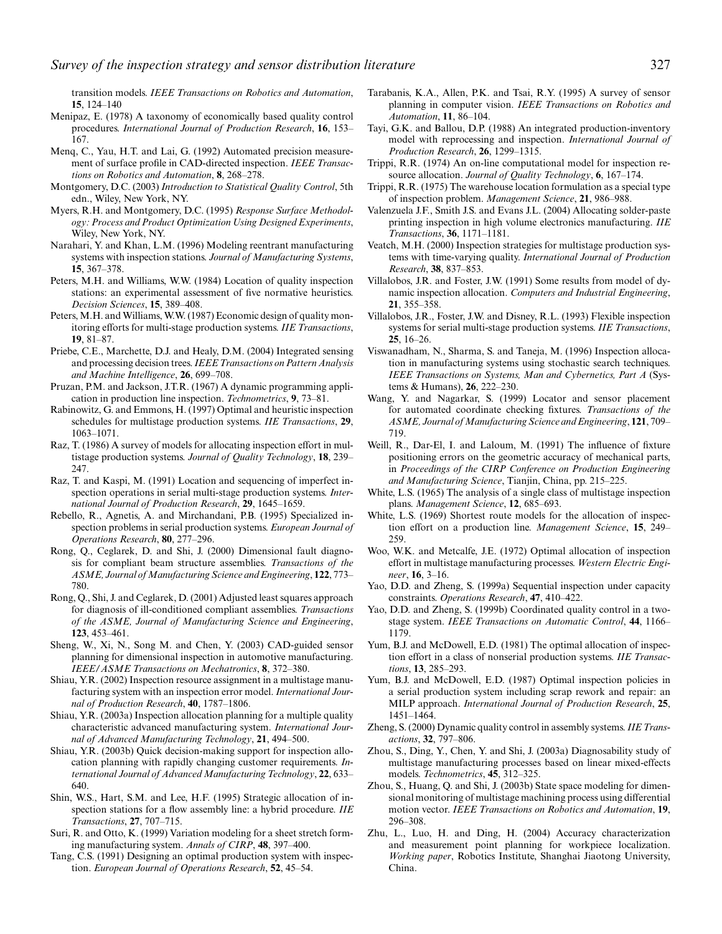transition models. *IEEE Transactions on Robotics and Automation*, **15**, 124–140

- Menipaz, E. (1978) A taxonomy of economically based quality control procedures. *International Journal of Production Research*, **16**, 153– 167.
- Menq, C., Yau, H.T. and Lai, G. (1992) Automated precision measurement of surface profile in CAD-directed inspection. *IEEE Transactions on Robotics and Automation*, **8**, 268–278.
- Montgomery, D.C. (2003) *Introduction to Statistical Quality Control*, 5th edn., Wiley, New York, NY.
- Myers, R.H. and Montgomery, D.C. (1995) *Response Surface Methodology: Process and Product Optimization Using Designed Experiments*, Wiley, New York, NY.
- Narahari, Y. and Khan, L.M. (1996) Modeling reentrant manufacturing systems with inspection stations. *Journal of Manufacturing Systems*, **15**, 367–378.
- Peters, M.H. and Williams, W.W. (1984) Location of quality inspection stations: an experimental assessment of five normative heuristics. *Decision Sciences*, **15**, 389–408.
- Peters, M.H. and Williams, W.W. (1987) Economic design of quality monitoring efforts for multi-stage production systems. *IIE Transactions*, **19**, 81–87.
- Priebe, C.E., Marchette, D.J. and Healy, D.M. (2004) Integrated sensing and processing decision trees.*IEEE Transactions on Pattern Analysis and Machine Intelligence*, **26**, 699–708.
- Pruzan, P.M. and Jackson, J.T.R. (1967) A dynamic programming application in production line inspection. *Technometrics*, **9**, 73–81.
- Rabinowitz, G. and Emmons, H. (1997) Optimal and heuristic inspection schedules for multistage production systems. *IIE Transactions*, **29**, 1063–1071.
- Raz, T. (1986) A survey of models for allocating inspection effort in multistage production systems. *Journal of Quality Technology*, **18**, 239– 247.
- Raz, T. and Kaspi, M. (1991) Location and sequencing of imperfect inspection operations in serial multi-stage production systems. *International Journal of Production Research*, **29**, 1645–1659.
- Rebello, R., Agnetis, A. and Mirchandani, P.B. (1995) Specialized inspection problems in serial production systems. *European Journal of Operations Research*, **80**, 277–296.
- Rong, Q., Ceglarek, D. and Shi, J. (2000) Dimensional fault diagnosis for compliant beam structure assemblies. *Transactions of the ASME, Journal of Manufacturing Science and Engineering*, **122**, 773– 780.
- Rong, Q., Shi, J. and Ceglarek, D. (2001) Adjusted least squares approach for diagnosis of ill-conditioned compliant assemblies. *Transactions of the ASME, Journal of Manufacturing Science and Engineering*, **123**, 453–461.
- Sheng, W., Xi, N., Song M. and Chen, Y. (2003) CAD-guided sensor planning for dimensional inspection in automotive manufacturing. *IEEE/ASME Transactions on Mechatronics*, **8**, 372–380.
- Shiau, Y.R. (2002) Inspection resource assignment in a multistage manufacturing system with an inspection error model. *International Journal of Production Research*, **40**, 1787–1806.
- Shiau, Y.R. (2003a) Inspection allocation planning for a multiple quality characteristic advanced manufacturing system. *International Journal of Advanced Manufacturing Technology*, **21**, 494–500.
- Shiau, Y.R. (2003b) Quick decision-making support for inspection allocation planning with rapidly changing customer requirements. *International Journal of Advanced Manufacturing Technology*, **22**, 633– 640.
- Shin, W.S., Hart, S.M. and Lee, H.F. (1995) Strategic allocation of inspection stations for a flow assembly line: a hybrid procedure. *IIE Transactions*, **27**, 707–715.
- Suri, R. and Otto, K. (1999) Variation modeling for a sheet stretch forming manufacturing system. *Annals of CIRP*, **48**, 397–400.
- Tang, C.S. (1991) Designing an optimal production system with inspection. *European Journal of Operations Research*, **52**, 45–54.
- Tarabanis, K.A., Allen, P.K. and Tsai, R.Y. (1995) A survey of sensor planning in computer vision. *IEEE Transactions on Robotics and Automation*, **11**, 86–104.
- Tayi, G.K. and Ballou, D.P. (1988) An integrated production-inventory model with reprocessing and inspection. *International Journal of Production Research*, **26**, 1299–1315.
- Trippi, R.R. (1974) An on-line computational model for inspection resource allocation. *Journal of Quality Technology*, **6**, 167–174.
- Trippi, R.R. (1975) The warehouse location formulation as a special type of inspection problem. *Management Science*, **21**, 986–988.
- Valenzuela J.F., Smith J.S. and Evans J.L. (2004) Allocating solder-paste printing inspection in high volume electronics manufacturing. *IIE Transactions*, **36**, 1171–1181.
- Veatch, M.H. (2000) Inspection strategies for multistage production systems with time-varying quality. *International Journal of Production Research*, **38**, 837–853.
- Villalobos, J.R. and Foster, J.W. (1991) Some results from model of dynamic inspection allocation. *Computers and Industrial Engineering*, **21**, 355–358.
- Villalobos, J.R., Foster, J.W. and Disney, R.L. (1993) Flexible inspection systems for serial multi-stage production systems. *IIE Transactions*, **25**, 16–26.
- Viswanadham, N., Sharma, S. and Taneja, M. (1996) Inspection allocation in manufacturing systems using stochastic search techniques. *IEEE Transactions on Systems, Man and Cybernetics, Part A* (Systems & Humans), **26**, 222–230.
- Wang, Y. and Nagarkar, S. (1999) Locator and sensor placement for automated coordinate checking fixtures. *Transactions of the ASME, Journal of Manufacturing Science and Engineering*, **121**, 709– 719.
- Weill, R., Dar-El, I. and Laloum, M. (1991) The influence of fixture positioning errors on the geometric accuracy of mechanical parts, in *Proceedings of the CIRP Conference on Production Engineering and Manufacturing Science*, Tianjin, China, pp. 215–225.
- White, L.S. (1965) The analysis of a single class of multistage inspection plans. *Management Science*, **12**, 685–693.
- White, L.S. (1969) Shortest route models for the allocation of inspection effort on a production line. *Management Science*, **15**, 249– 259.
- Woo, W.K. and Metcalfe, J.E. (1972) Optimal allocation of inspection effort in multistage manufacturing processes. *Western Electric Engineer*, **16**, 3–16.
- Yao, D.D. and Zheng, S. (1999a) Sequential inspection under capacity constraints. *Operations Research*, **47**, 410–422.
- Yao, D.D. and Zheng, S. (1999b) Coordinated quality control in a twostage system. *IEEE Transactions on Automatic Control*, **44**, 1166– 1179.
- Yum, B.J. and McDowell, E.D. (1981) The optimal allocation of inspection effort in a class of nonserial production systems. *IIE Transactions*, **13**, 285–293.
- Yum, B.J. and McDowell, E.D. (1987) Optimal inspection policies in a serial production system including scrap rework and repair: an MILP approach. *International Journal of Production Research*, **25**, 1451–1464.
- Zheng, S. (2000) Dynamic quality control in assembly systems.*IIE Transactions*, **32**, 797–806.
- Zhou, S., Ding, Y., Chen, Y. and Shi, J. (2003a) Diagnosability study of multistage manufacturing processes based on linear mixed-effects models. *Technometrics*, **45**, 312–325.
- Zhou, S., Huang, Q. and Shi, J. (2003b) State space modeling for dimensional monitoring of multistage machining process using differential motion vector. *IEEE Transactions on Robotics and Automation*, **19**, 296–308.
- Zhu, L., Luo, H. and Ding, H. (2004) Accuracy characterization and measurement point planning for workpiece localization. *Working paper*, Robotics Institute, Shanghai Jiaotong University, China.